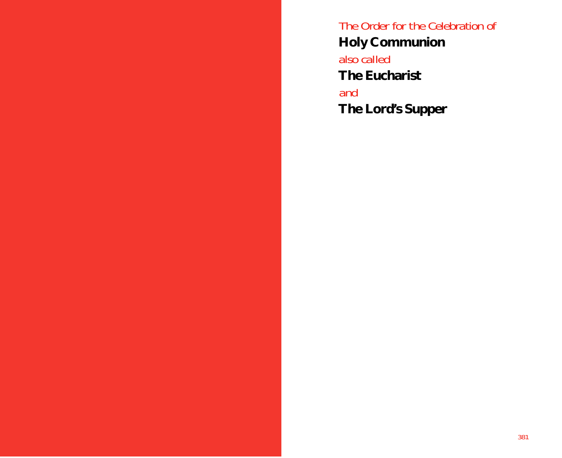*The Order for the Celebration of* **Holy Communion** *also called*  **The Eucharist**  *and*  **The Lord's Supper**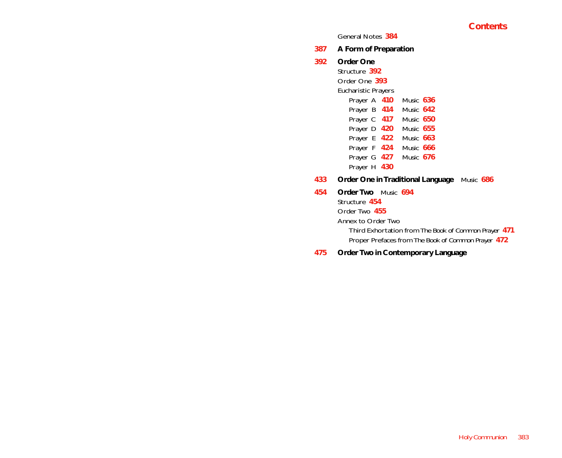General Notes **384**

**387 A Form of Preparation**

**392 Order One**

Structure **392** Order One **393** Eucharistic Prayers Prayer A **410** *Music* **636** Prayer B **414** *Music* **642** Prayer C **417** *Music* **650** Prayer D **420** *Music* **655** Prayer E **422** *Music* **663** Prayer F **424** *Music* **666** Prayer G **427** *Music* **676** Prayer H **430**

**433 Order One in Traditional Language** *Music* **686**

- **454 Order Two** *Music* **694** Structure **454** Order Two **455** Annex to Order Two Third Exhortation from *The Book of Common Prayer* **471** Proper Prefaces from *The Book of Common Prayer* **472**
- **475 Order Two in Contemporary Language**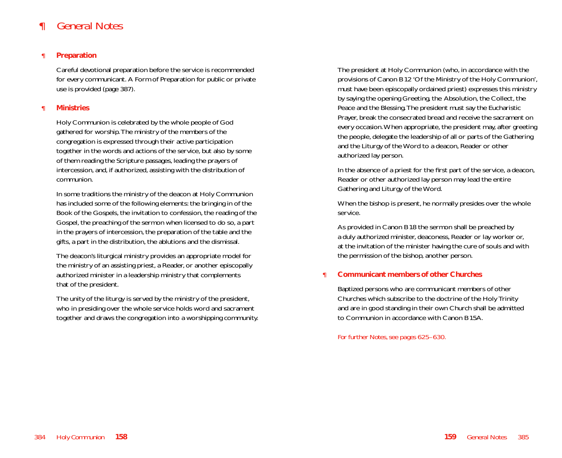# *¶ General Notes*

#### ¶ **Preparation**

Careful devotional preparation before the service is recommended for every communicant. A Form of Preparation for public or private use is provided (page 387).

#### ¶ **Ministries**

Holy Communion is celebrated by the whole people of God gathered for worship. The ministry of the members of the congregation is expressed through their active participation together in the words and actions of the service, but also by some of them reading the Scripture passages, leading the prayers of intercession, and, if authorized, assisting with the distribution of communion.

In some traditions the ministry of the deacon at Holy Communion has included some of the following elements: the bringing in of the Book of the Gospels, the invitation to confession, the reading of the Gospel, the preaching of the sermon when licensed to do so, a part in the prayers of intercession, the preparation of the table and the gifts, a part in the distribution, the ablutions and the dismissal.

The deacon's liturgical ministry provides an appropriate model for the ministry of an assisting priest, a Reader, or another episcopally authorized minister in a leadership ministry that complements that of the president.

The unity of the liturgy is served by the ministry of the president, who in presiding over the whole service holds word and sacrament together and draws the congregation into a worshipping community. The president at Holy Communion (who, in accordance with the provisions of Canon B 12 'Of the Ministry of the Holy Communion', must have been episcopally ordained priest) expresses this ministry by saying the opening Greeting, the Absolution, the Collect, the Peace and the Blessing. The president must say the Eucharistic Prayer, break the consecrated bread and receive the sacrament on every occasion.When appropriate, the president may, after greeting the people, delegate the leadership of all or parts of the Gathering and the Liturgy of the Word to a deacon, Reader or other authorized lay person.

In the absence of a priest for the first part of the service, a deacon, Reader or other authorized lay person may lead the entire Gathering and Liturgy of the Word.

When the bishop is present, he normally presides over the whole service.

As provided in Canon B 18 the sermon shall be preached by a duly authorized minister, deaconess, Reader or lay worker or, at the invitation of the minister having the cure of souls and with the permission of the bishop, another person.

#### ¶ **Communicant members of other Churches**

Baptized persons who are communicant members of other Churches which subscribe to the doctrine of the Holy Trinity and are in good standing in their own Church shall be admitted to Communion in accordance with Canon B 15A.

*For further Notes, see pages 625–630.*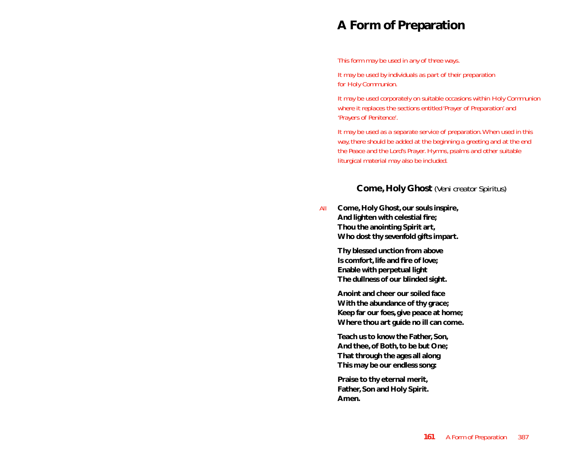# **A Form of Preparation**

*This form may be used in any of three ways.*

*It may be used by individuals as part of their preparation for Holy Communion.*

*It may be used corporately on suitable occasions within Holy Communion where it replaces the sections entitled 'Prayer of Preparation' and 'Prayers of Penitence'.*

*It may be used as a separate service of preparation. When used in this way, there should be added at the beginning a greeting and at the end the Peace and the Lord's Prayer. Hymns, psalms and other suitable liturgical material may also be included.*

# **Come, Holy Ghost** *(Veni creator Spiritus)*

*All* **Come, Holy Ghost, our souls inspire, And lighten with celestial fire; Thou the anointing Spirit art, Who dost thy sevenfold gifts impart.**

> **Thy blessed unction from above Is comfort, life and fire of love; Enable with perpetual light The dullness of our blinded sight.**

**Anoint and cheer our soiled face With the abundance of thy grace; Keep far our foes, give peace at home; Where thou art guide no ill can come.**

**Teach us to know the Father, Son, And thee, of Both, to be but One; That through the ages all along This may be our endless song:**

**Praise to thy eternal merit, Father, Son and Holy Spirit. Amen.**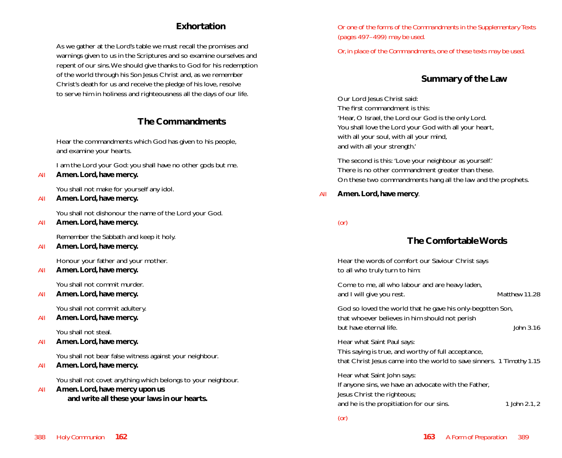# **Exhortation**

As we gather at the Lord's table we must recall the promises and warnings given to us in the Scriptures and so examine ourselves and repent of our sins.We should give thanks to God for his redemption of the world through his Son Jesus Christ and, as we remember Christ's death for us and receive the pledge of his love, resolve to serve him in holiness and righteousness all the days of our life.

# **The Commandments**

Hear the commandments which God has given to his people, and examine your hearts.

I am the Lord your God: you shall have no other gods but me.

*All* **Amen. Lord, have mercy.**

You shall not make for yourself any idol.

*All* **Amen. Lord, have mercy.**

You shall not dishonour the name of the Lord your God.

*All* **Amen. Lord, have mercy.**

Remember the Sabbath and keep it holy.

*All* **Amen. Lord, have mercy.**

Honour your father and your mother.

*All* **Amen. Lord, have mercy.**

You shall not commit murder.

*All* **Amen. Lord, have mercy.**

You shall not commit adultery.

*All* **Amen. Lord, have mercy.**

You shall not steal.

*All* **Amen. Lord, have mercy.**

You shall not bear false witness against your neighbour.

*All* **Amen. Lord, have mercy.**

You shall not covet anything which belongs to your neighbour.

*All* **Amen. Lord, have mercy upon us and write all these your laws in our hearts.** *Or one of the forms of the Commandments in the Supplementary Texts (pages 497–499) may be used.*

*Or, in place of the Commandments, one of these texts may be used.*

# **Summary of the Law**

Our Lord Jesus Christ said: The first commandment is this: 'Hear, O Israel, the Lord our God is the only Lord. You shall love the Lord your God with all your heart, with all your soul, with all your mind, and with all your strength.'

The second is this: 'Love your neighbour as yourself.' There is no other commandment greater than these. On these two commandments hang all the law and the prophets.

*All* **Amen. Lord, have mercy**.

### *(or)*

# **The Comfortable Words**

Hear the words of comfort our Saviour Christ says to all who truly turn to him:

| Come to me, all who labour and are heavy laden,<br>and I will give you rest.                                                                               | Matthew 11.28 |
|------------------------------------------------------------------------------------------------------------------------------------------------------------|---------------|
| God so loved the world that he gave his only-begotten Son,<br>that whoever believes in him should not perish<br>but have eternal life.                     | John 3.16     |
| Hear what Saint Paul says:<br>This saying is true, and worthy of full acceptance,<br>that Christ Jesus came into the world to save sinners. 1 Timothy 1.15 |               |
| Hear what Saint John says:<br>If anyone sins, we have an advocate with the Father,<br>Jesus Christ the righteous;                                          |               |
| and he is the propitiation for our sins.                                                                                                                   | 1 John 2.1.2  |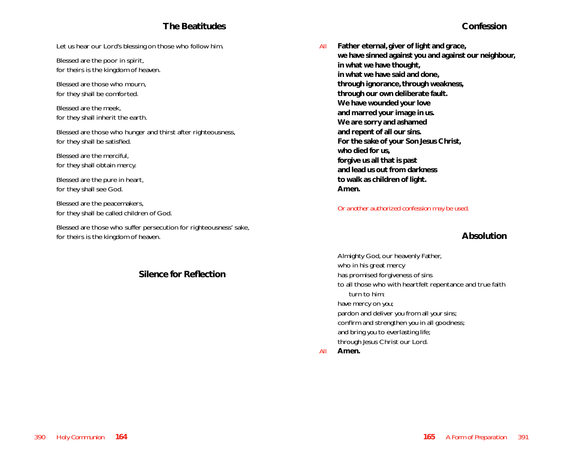# **The Beatitudes**

Let us hear our Lord's blessing on those who follow him.

Blessed are the poor in spirit, for theirs is the kingdom of heaven.

Blessed are those who mourn, for they shall be comforted.

Blessed are the meek, for they shall inherit the earth.

Blessed are those who hunger and thirst after righteousness, for they shall be satisfied.

Blessed are the merciful, for they shall obtain mercy.

Blessed are the pure in heart, for they shall see God.

Blessed are the peacemakers, for they shall be called children of God.

Blessed are those who suffer persecution for righteousness' sake, for theirs is the kingdom of heaven.

# **Silence for Reflection**

*All* **Father eternal, giver of light and grace, we have sinned against you and against our neighbour, in what we have thought, in what we have said and done, through ignorance, through weakness, through our own deliberate fault. We have wounded your love and marred your image in us. We are sorry and ashamed and repent of all our sins. For the sake of your Son Jesus Christ, who died for us, forgive us all that is past and lead us out from darkness to walk as children of light. Amen.**

*Or another authorized confession may be used.*

# **Absolution**

Almighty God, our heavenly Father, who in his great mercy has promised forgiveness of sins to all those who with heartfelt repentance and true faith turn to him: have mercy on *you*; pardon and deliver *you* from all *your* sins; confirm and strengthen *you* in all goodness; and bring *you* to everlasting life; through Jesus Christ our Lord. *All* **Amen.**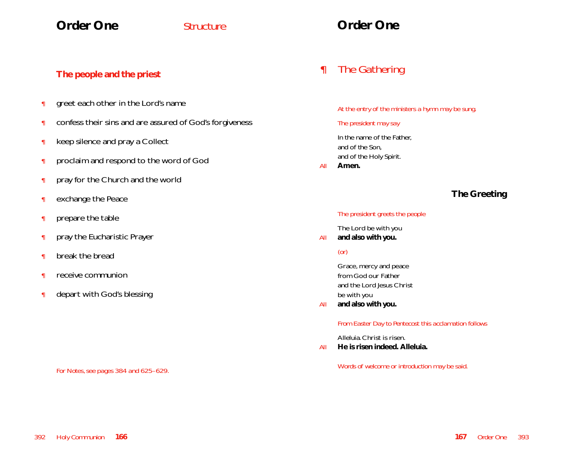# **Order One** *Structure*

# **The people and the priest**

- **f** greet each other in the Lord's name
- **f** confess their sins and are assured of God's forgiveness
- **f** keep silence and pray a Collect
- ¶ proclaim and respond to the word of God
- **f** pray for the Church and the world
- ¶ exchange the Peace
- ¶ prepare the table
- **f** pray the Eucharistic Prayer
- ¶ break the bread
- ¶ receive communion
- **f** depart with God's blessing

*For Notes, see pages 384 and 625–629.*

**Order One**

# *¶ The Gathering*

#### *At the entry of the ministers a hymn may be sung.*

#### *The president may say*

In the name of the Father, and of the Son, and of the Holy Spirit.

*All* **Amen.**

# **The Greeting**

#### *The president greets the people*

The Lord be with you

*All* **and also with you.**

#### *(or)*

Grace, mercy and peace from God our Father and the Lord Jesus Christ be with you

*All* **and also with you.**

#### *From Easter Day to Pentecost this acclamation follows*

Alleluia. Christ is risen.

*All* **He is risen indeed. Alleluia.**

*Words of welcome or introduction may be said.*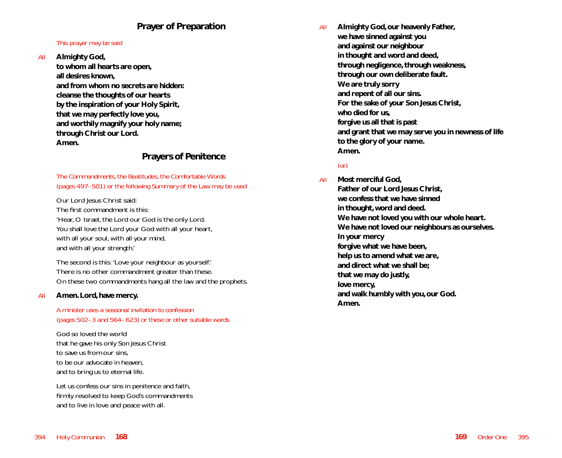# **Prayer of Preparation**

#### *This prayer may be said*

*All* **Almighty God,**

**to whom all hearts are open, all desires known, and from whom no secrets are hidden: cleanse the thoughts of our hearts by the inspiration of your Holy Spirit, that we may perfectly love you, and worthily magnify your holy name; through Christ our Lord. Amen.**

# **Prayers of Penitence**

*The Commandments, the Beatitudes, the Comfortable Words (pages 497–501) or the following Summary of the Law may be used*

Our Lord Jesus Christ said: The first commandment is this: 'Hear, O Israel, the Lord our God is the only Lord. You shall love the Lord your God with all your heart, with all your soul, with all your mind, and with all your strength.'

The second is this: 'Love your neighbour as yourself.' There is no other commandment greater than these. On these two commandments hang all the law and the prophets.

#### *All* **Amen. Lord, have mercy.**

*A minister uses a seasonal invitation to confession (pages 502–3 and 564–623) or these or other suitable words* 

God so loved the world that he gave his only Son Jesus Christ to save us from our sins, to be our advocate in heaven, and to bring us to eternal life.

Let us confess our sins in penitence and faith, firmly resolved to keep God's commandments and to live in love and peace with all.

**All Almighty God, our heavenly Father, we have sinned against you and against our neighbour in thought and word and deed, through negligence, through weakness, through our own deliberate fault. We are truly sorry and repent of all our sins. For the sake of your Son Jesus Christ, who died for us, forgive us all that is past and grant that we may serve you in newness of life to the glory of your name. Amen.**

#### *(or)*

*All* **Most merciful God, Father of our Lord Jesus Christ, we confess that we have sinned in thought, word and deed. We have not loved you with our whole heart. We have not loved our neighbours as ourselves. In your mercy forgive what we have been, help us to amend what we are, and direct what we shall be; that we may do justly, love mercy, and walk humbly with you, our God. Amen.**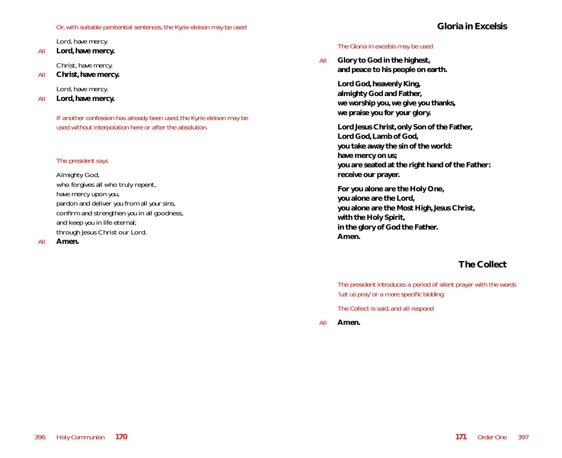#### *Or, with suitable penitential sentences, the Kyrie eleison may be used*

Lord, have mercy.

#### *All* **Lord, have mercy.**

Christ, have mercy.

*All* **Christ, have mercy.**

Lord, have mercy.

*All* **Lord, have mercy.**

*If another confession has already been used, the Kyrie eleison may be used without interpolation here or after the absolution.*

#### *The president says*

Almighty God, who forgives all who truly repent, have mercy upon *you*, pardon and deliver *you* from all *your* sins, confirm and strengthen *you* in all goodness, and keep *you* in life eternal; through Jesus Christ our Lord.

#### *All* **Amen.**

#### *The Gloria in excelsis may be used*

*All* **Glory to God in the highest, and peace to his people on earth.**

> **Lord God, heavenly King, almighty God and Father, we worship you, we give you thanks, we praise you for your glory.**

**Lord Jesus Christ, only Son of the Father, Lord God, Lamb of God, you take away the sin of the world: have mercy on us; you are seated at the right hand of the Father: receive our prayer.**

**For you alone are the Holy One, you alone are the Lord, you alone are the Most High, Jesus Christ, with the Holy Spirit, in the glory of God the Father. Amen.**

# **The Collect**

*The president introduces a period of silent prayer with the words 'Let us pray' or a more specific bidding.*

*The Collect is said, and all respond*

*All* **Amen.**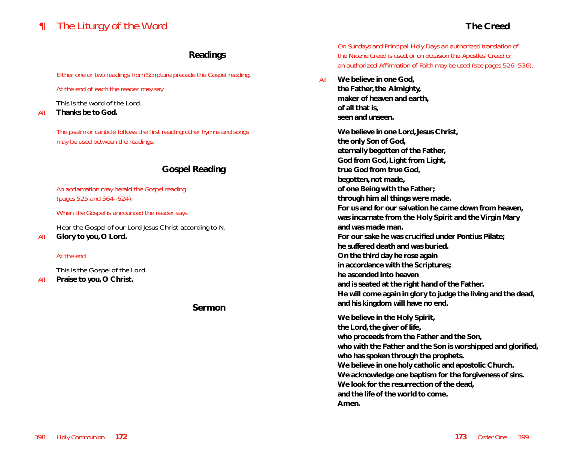# *¶ The Liturgy of the Word*

# **The Creed**

# **Readings**

*Either one or two readings from Scripture precede the Gospel reading.*

*At the end of each the reader may say*

This is the word of the Lord.

# *All* **Thanks be to God.**

*The psalm or canticle follows the first reading; other hymns and songs may be used between the readings.*

# **Gospel Reading**

*An acclamation may herald the Gospel reading (pages 525 and 564–624).*

*When the Gospel is announced the reader says*

Hear the Gospel of our Lord Jesus Christ according to *N*. *All* **Glory to you, O Lord.**

### *At the end*

This is the Gospel of the Lord. *All* **Praise to you, O Christ.** 

### **Sermon**

*On Sundays and Principal Holy Days an authorized translation of the Nicene Creed is used, or on occasion the Apostles' Creed or an authorized Affirmation of Faith may be used (see pages 526–536).*

*All* **We believe in one God, the Father, the Almighty, maker of heaven and earth, of all that is, seen and unseen.**

> **We believe in one Lord, Jesus Christ, the only Son of God, eternally begotten of the Father, God from God, Light from Light, true God from true God, begotten, not made, of one Being with the Father; through him all things were made. For us and for our salvation he came down from heaven, was incarnate from the Holy Spirit and the Virgin Mary and was made man. For our sake he was crucified under Pontius Pilate; he suffered death and was buried. On the third day he rose again in accordance with the Scriptures; he ascended into heaven and is seated at the right hand of the Father. He will come again in glory to judge the living and the dead, and his kingdom will have no end. We believe in the Holy Spirit, the Lord, the giver of life, who proceeds from the Father and the Son, who with the Father and the Son is worshipped and glorified, who has spoken through the prophets. We believe in one holy catholic and apostolic Church. We acknowledge one baptism for the forgiveness of sins. We look for the resurrection of the dead,**

**and the life of the world to come.**

**Amen.**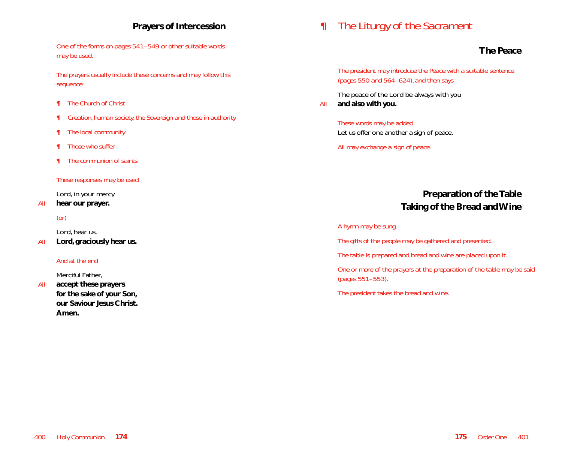# **Prayers of Intercession**

*One of the forms on pages 541–549 or other suitable words may be used.*

*The prayers usually include these concerns and may follow this sequence:*

- ¶ *The Church of Christ*
- ¶ *Creation, human society, the Sovereign and those in authority*
- ¶ *The local community*
- ¶ *Those who suffer*
- ¶ *The communion of saints*

*These responses may be used*

Lord, in your mercy

*All* **hear our prayer.**

#### *(or)*

Lord, hear us.

*All* **Lord, graciously hear us.**

#### *And at the end*

Merciful Father,

*All* **accept these prayers for the sake of your Son, our Saviour Jesus Christ. Amen.**

# *¶ The Liturgy of the Sacrament*

# **The Peace**

*The president may introduce the Peace with a suitable sentence (pages 550 and 564–624), and then says*

The peace of the Lord be always with you *All* **and also with you.**

*These words may be added* Let us offer one another a sign of peace.

*All may exchange a sign of peace.*

# **Preparation of the Table Taking of the Bread and Wine**

#### *A hymn may be sung.*

*The gifts of the people may be gathered and presented.*

*The table is prepared and bread and wine are placed upon it.*

*One or more of the prayers at the preparation of the table may be said (pages 551–553).*

*The president takes the bread and wine.*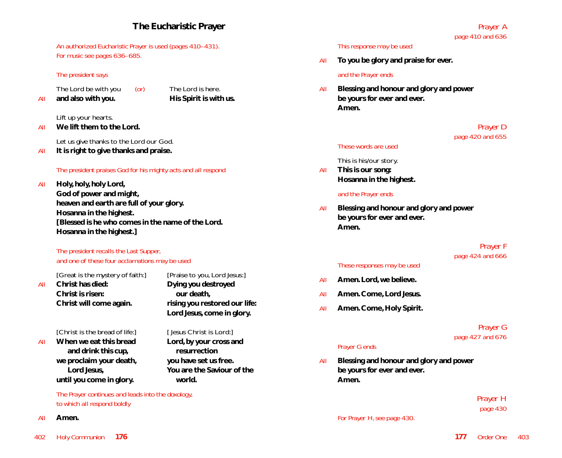# **The Eucharistic Prayer**

*An authorized Eucharistic Prayer is used (pages 410–431). For music see pages 636–685.*

#### *The president says*

The Lord be with you *(or)* The Lord is here.

All and also with you. **His Spirit is with us.** 

Lift up your hearts.

*All* **We lift them to the Lord.**

Let us give thanks to the Lord our God.

*All* **It is right to give thanks and praise.**

#### *The president praises God for his mighty acts and all respond*

*All* **Holy, holy, holy Lord, God of power and might, heaven and earth are full of your glory. Hosanna in the highest. [Blessed is he who comes in the name of the Lord. Hosanna in the highest.]**

#### *The president recalls the Last Supper, and one of these four acclamations may be used*

*All* **Christ has died: Dying you destroyed Christ is risen: our death,**

[Great is the mystery of faith:] [Praise to you, Lord Jesus:] **Christ will come again. rising you restored our life: Lord Jesus, come in glory.**

[Christ is the bread of life:] [ Jesus Christ is Lord:] *All* **When we eat this bread Lord, by your cross and and drink this cup, resurrection we proclaim your death, you have set us free. until you come in glory. world.**

**Lord Jesus, You are the Saviour of the** 

*The Prayer continues and leads into the doxology, to which all respond boldly* 

*All* **Amen.**

#### *This response may be used*

*All* **To you be glory and praise for ever.**

#### *and the Prayer ends*

*All* **Blessing and honour and glory and power be yours for ever and ever. Amen.**

> *Prayer D page 420 and 655*

#### *These words are used*

#### This is his/our story.

*All* **This is our song: Hosanna in the highest.**

#### *and the Prayer ends*

*All* **Blessing and honour and glory and power be yours for ever and ever. Amen.**

# *Prayer F page 424 and 666*

#### *These responses may be used*

- *All* **Amen. Lord, we believe.**
- *All* **Amen. Come, Lord Jesus.**
- *All* **Amen. Come, Holy Spirit.**

### *Prayer G page 427 and 676*

#### *Prayer G ends*

*All* **Blessing and honour and glory and power be yours for ever and ever. Amen.**

> *Prayer H page 430*

*For Prayer H, see page 430.*

# *page 410 and 636*

*Prayer A*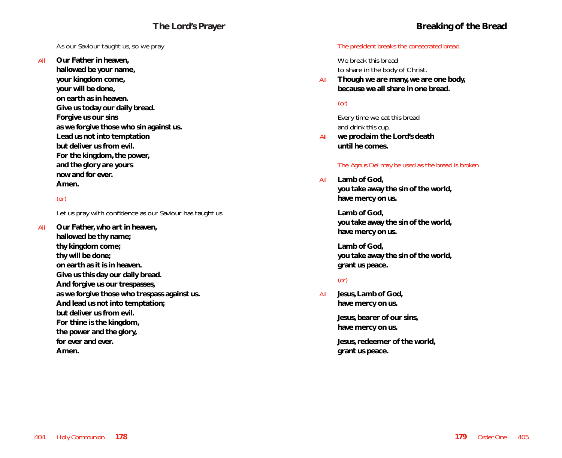As our Saviour taught us, so we pray

*All* **Our Father in heaven,**

**hallowed be your name, your kingdom come, your will be done, on earth as in heaven. Give us today our daily bread. Forgive us our sins as we forgive those who sin against us. Lead us not into temptation but deliver us from evil. For the kingdom, the power, and the glory are yours now and for ever. Amen.**

# *(or)*

Let us pray with confidence as our Saviour has taught us

*All* **Our Father, who art in heaven, hallowed be thy name; thy kingdom come; thy will be done; on earth as it is in heaven. Give us this day our daily bread. And forgive us our trespasses, as we forgive those who trespass against us. And lead us not into temptation; but deliver us from evil. For thine is the kingdom, the power and the glory, for ever and ever. Amen.**

#### *The president breaks the consecrated bread.*

We break this bread to share in the body of Christ.

*All* **Though we are many, we are one body, because we all share in one bread.**

#### *(or)*

Every time we eat this bread and drink this cup,

*All* **we proclaim the Lord's death until he comes.**

#### *The Agnus Dei may be used as the bread is broken*

*All* **Lamb of God, you take away the sin of the world, have mercy on us.**

> **Lamb of God, you take away the sin of the world, have mercy on us.**

> **Lamb of God, you take away the sin of the world, grant us peace.**

### *(or)*

*All* **Jesus, Lamb of God, have mercy on us.**

> **Jesus, bearer of our sins, have mercy on us.**

**Jesus, redeemer of the world, grant us peace.**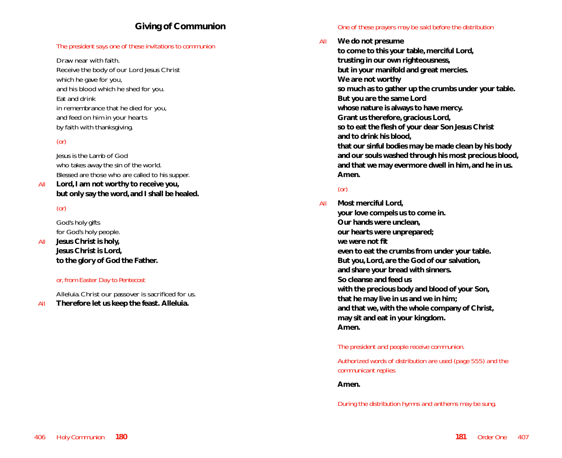#### *The president says one of these invitations to communion*

Draw near with faith. Receive the body of our Lord Jesus Christ which he gave for you, and his blood which he shed for you. Eat and drink in remembrance that he died for you, and feed on him in your hearts by faith with thanksgiving.

# *(or)*

Jesus is the Lamb of God who takes away the sin of the world. Blessed are those who are called to his supper.

*All* **Lord, I am not worthy to receive you, but only say the word, and I shall be healed.**

# *(or)*

God's holy gifts for God's holy people.

*All* **Jesus Christ is holy, Jesus Christ is Lord, to the glory of God the Father.**

#### *or, from Easter Day to Pentecost*

Alleluia. Christ our passover is sacrificed for us. *All* **Therefore let us keep the feast. Alleluia.**

#### *One of these prayers may be said before the distribution*

*All* **We do not presume to come to this your table, merciful Lord, trusting in our own righteousness, but in your manifold and great mercies. We are not worthy so much as to gather up the crumbs under your table. But you are the same Lord whose nature is always to have mercy. Grant us therefore, gracious Lord, so to eat the flesh of your dear Son Jesus Christ and to drink his blood, that our sinful bodies may be made clean by his body and our souls washed through his most precious blood, and that we may evermore dwell in him, and he in us. Amen.**

### *(or)*

*All* **Most merciful Lord, your love compels us to come in. Our hands were unclean, our hearts were unprepared; we were not fit even to eat the crumbs from under your table. But you, Lord, are the God of our salvation, and share your bread with sinners. So cleanse and feed us with the precious body and blood of your Son, that he may live in us and we in him; and that we, with the whole company of Christ, may sit and eat in your kingdom. Amen.**

*The president and people receive communion.*

*Authorized words of distribution are used (page 555) and the communicant replies* 

#### **Amen.**

*During the distribution hymns and anthems may be sung.*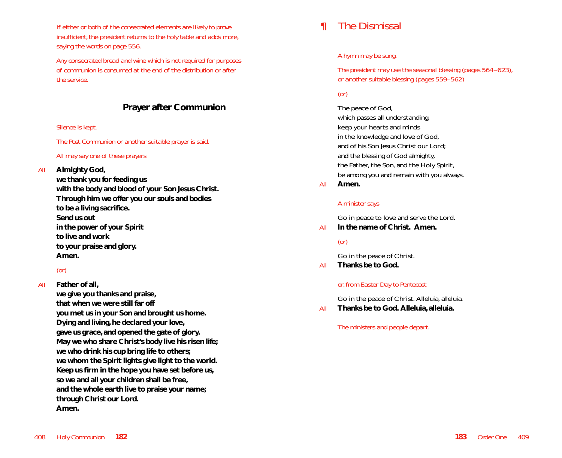*If either or both of the consecrated elements are likely to prove insufficient, the president returns to the holy table and adds more, saying the words on page 556.*

*Any consecrated bread and wine which is not required for purposes of communion is consumed at the end of the distribution or after the service.*

# **Prayer after Communion**

#### *Silence is kept.*

*The Post Communion or another suitable prayer is said.*

#### *All may say one of these prayers*

*All* **Almighty God,**

**we thank you for feeding us with the body and blood of your Son Jesus Christ. Through him we offer you our souls and bodies to be a living sacrifice. Send us out in the power of your Spirit to live and work to your praise and glory. Amen.**

#### *(or)*

*All* **Father of all,**

**we give you thanks and praise, that when we were still far off you met us in your Son and brought us home. Dying and living, he declared your love, gave us grace, and opened the gate of glory. May we who share Christ's body live his risen life; we who drink his cup bring life to others; we whom the Spirit lights give light to the world. Keep us firm in the hope you have set before us, so we and all your children shall be free, and the whole earth live to praise your name; through Christ our Lord. Amen.**

# *¶ The Dismissal*

#### *A hymn may be sung.*

*The president may use the seasonal blessing (pages 564–623), or another suitable blessing (pages 559–562)*

#### *(or)*

The peace of God, which passes all understanding, keep your hearts and minds in the knowledge and love of God, and of his Son Jesus Christ our Lord; and the blessing of God almighty, the Father, the Son, and the Holy Spirit, be among you and remain with you always.

*All* **Amen.**

#### *A minister says*

Go in peace to love and serve the Lord.

*All* **In the name of Christ. Amen.**

#### *(or)*

Go in the peace of Christ.

*All* **Thanks be to God.**

#### *or, from Easter Day to Pentecost*

Go in the peace of Christ. Alleluia, alleluia.

*All* **Thanks be to God. Alleluia, alleluia.**

#### *The ministers and people depart.*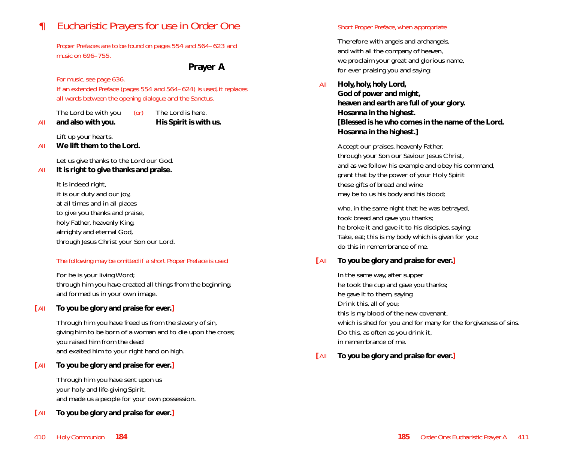# *¶ Eucharistic Prayers for use in Order One*

*Proper Prefaces are to be found on pages 554 and 564–623 and music on 696–755.*

# **Prayer A**

*For music, see page 636.*

*If an extended Preface (pages 554 and 564–624) is used, it replaces all words between the opening dialogue and the Sanctus.*

The Lord be with you *(or)* The Lord is here.

*All* **and also with you. His Spirit is with us.**

Lift up your hearts.

*All* **We lift them to the Lord.**

Let us give thanks to the Lord our God.

*All* **It is right to give thanks and praise.**

It is indeed right, it is our duty and our joy, at all times and in all places to give you thanks and praise, holy Father, heavenly King, almighty and eternal God, through Jesus Christ your Son our Lord.

#### *The following may be omitted if a short Proper Preface is used*

For he is your living Word; through him you have created all things from the beginning, and formed us in your own image.

#### **[***All* **To you be glory and praise for ever.]**

Through him you have freed us from the slavery of sin, giving him to be born of a woman and to die upon the cross; you raised him from the dead and exalted him to your right hand on high.

**[***All* **To you be glory and praise for ever.]**

Through him you have sent upon us your holy and life-giving Spirit, and made us a people for your own possession.

**[***All* **To you be glory and praise for ever.]**

#### *Short Proper Preface, when appropriate*

Therefore with angels and archangels, and with all the company of heaven, we proclaim your great and glorious name, for ever praising you and *saying:*

*All* **Holy, holy, holy Lord, God of power and might, heaven and earth are full of your glory. Hosanna in the highest. [Blessed is he who comes in the name of the Lord. Hosanna in the highest.]**

Accept our praises, heavenly Father, through your Son our Saviour Jesus Christ, and as we follow his example and obey his command, grant that by the power of your Holy Spirit these gifts of bread and wine may be to us his body and his blood;

who, in the same night that he was betrayed, took bread and gave you thanks; he broke it and gave it to his disciples, saying: Take, eat; this is my body which is given for you; do this in remembrance of me.

#### **[***All* **To you be glory and praise for ever.]**

In the same way, after supper he took the cup and gave you thanks; he gave it to them, saying: Drink this, all of you; this is my blood of the new covenant, which is shed for you and for many for the forgiveness of sins. Do this, as often as you drink it, in remembrance of me.

#### **[***All* **To you be glory and praise for ever.]**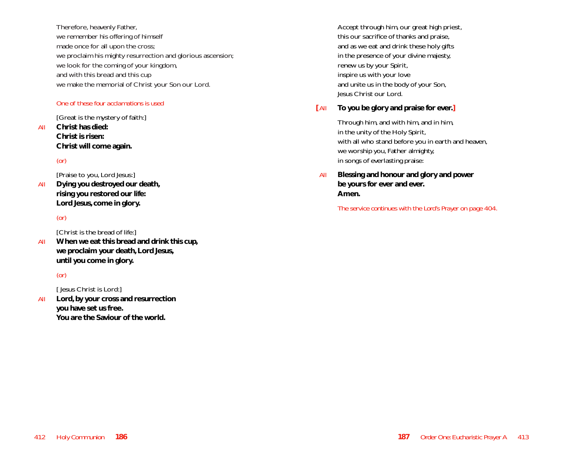Therefore, heavenly Father, we remember his offering of himself made once for all upon the cross; we proclaim his mighty resurrection and glorious ascension; we look for the coming of your kingdom, and with this bread and this cup we make the memorial of Christ your Son our Lord.

#### *One of these four acclamations is used*

[Great is the mystery of faith:] *All* **Christ has died: Christ is risen:**

**Christ will come again.**

### *(or)*

[Praise to you, Lord Jesus:]

*All* **Dying you destroyed our death, rising you restored our life: Lord Jesus, come in glory.**

# *(or)*

[Christ is the bread of life:]

*All* **When we eat this bread and drink this cup, we proclaim your death, Lord Jesus, until you come in glory.**

# *(or)*

[ Jesus Christ is Lord:]

*All* **Lord, by your cross and resurrection you have set us free. You are the Saviour of the world.**

Accept through him, our great high priest, this our sacrifice of thanks and praise, and as we eat and drink these holy gifts in the presence of your divine majesty, renew us by your Spirit, inspire us with your love and unite us in the body of your Son, Jesus Christ our Lord.

#### **[***All* **To you be glory and praise for ever.]**

Through him, and with him, and in him, in the unity of the Holy Spirit, with all who stand before you in earth and heaven, we worship you, Father almighty, in songs of everlasting praise:

# *All* **Blessing and honour and glory and power be yours for ever and ever. Amen.**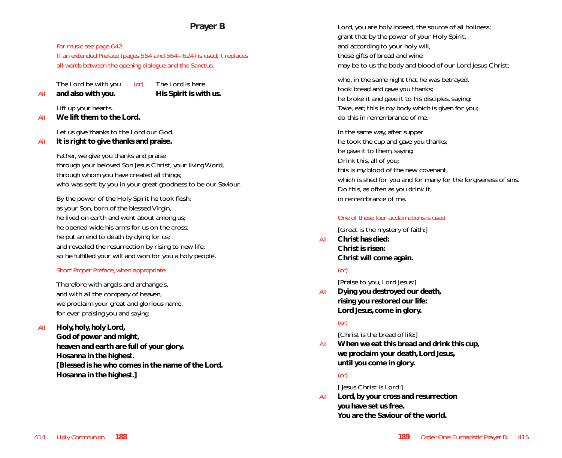# **Prayer B**

*For music see page 642. If an extended Preface (pages 554 and 564–624) is used, it replaces all words between the opening dialogue and the Sanctus.*

The Lord be with you *(or)* The Lord is here.

*All* **and also with you. His Spirit is with us.**

Lift up your hearts.

*All* **We lift them to the Lord.**

Let us give thanks to the Lord our God.

#### *All* **It is right to give thanks and praise.**

Father, we give you thanks and praise through your beloved Son Jesus Christ, your living Word, through whom you have created all things; who was sent by you in your great goodness to be our Saviour.

By the power of the Holy Spirit he took flesh; as your Son, born of the blessed Virgin, he lived on earth and went about among us; he opened wide his arms for us on the cross; he put an end to death by dying for us; and revealed the resurrection by rising to new life; so he fulfilled your will and won for you a holy people.

#### *Short Proper Preface, when appropriate*

Therefore with angels and archangels, and with all the company of heaven, we proclaim your great and glorious name, for ever praising you and *saying*:

*All* **Holy, holy, holy Lord,**

**God of power and might, heaven and earth are full of your glory. Hosanna in the highest. [Blessed is he who comes in the name of the Lord. Hosanna in the highest.]**

Lord, you are holy indeed, the source of all holiness; grant that by the power of your Holy Spirit, and according to your holy will, these gifts of bread and wine may be to us the body and blood of our Lord Jesus Christ;

who, in the same night that he was betrayed, took bread and gave you thanks; he broke it and gave it to his disciples, saying: Take, eat; this is my body which is given for you; do this in remembrance of me.

In the same way, after supper he took the cup and gave you thanks; he gave it to them, saying: Drink this, all of you; this is my blood of the new covenant, which is shed for you and for many for the forgiveness of sins. Do this, as often as you drink it, in remembrance of me.

#### *One of these four acclamations is used*

[Great is the mystery of faith:] *All* **Christ has died:**

**Christ is risen: Christ will come again.**

### *(or)*

[Praise to you, Lord Jesus:]

*All* **Dying you destroyed our death, rising you restored our life: Lord Jesus, come in glory.**

# *(or)*

#### [Christ is the bread of life:]

*All* **When we eat this bread and drink this cup, we proclaim your death, Lord Jesus, until you come in glory.**

#### *(or)*

#### [ Jesus Christ is Lord:]

*All* **Lord, by your cross and resurrection you have set us free. You are the Saviour of the world.**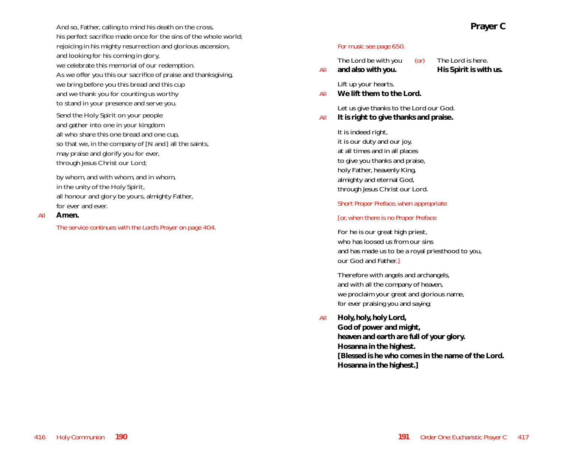And so, Father, calling to mind his death on the cross, his perfect sacrifice made once for the sins of the whole world; rejoicing in his mighty resurrection and glorious ascension, and looking for his coming in glory, we celebrate this memorial of our redemption. As we offer you this our sacrifice of praise and thanksgiving, we bring before you this bread and this cup and we thank you for counting us worthy to stand in your presence and serve you.

Send the Holy Spirit on your people and gather into one in your kingdom all who share this one bread and one cup, so that we, in the company of [*N and* ] all the saints, may praise and glorify you for ever, through Jesus Christ our Lord;

by whom, and with whom, and in whom, in the unity of the Holy Spirit, all honour and glory be yours, almighty Father, for ever and ever.

#### *All* **Amen.**

*The service continues with the Lord's Prayer on page 404.*

**Prayer C**

#### *For music see page 650.*

| All | The Lord be with you<br>and also with you. | (0r) | The Lord is here.<br>His Spirit is with us. |
|-----|--------------------------------------------|------|---------------------------------------------|
|     | Lift up your hearts.                       |      |                                             |

*All* **We lift them to the Lord.**

Let us give thanks to the Lord our God.

*All* **It is right to give thanks and praise.**

It is indeed right, it is our duty and our joy, at all times and in all places to give you thanks and praise, holy Father, heavenly King, almighty and eternal God, through Jesus Christ our Lord.

#### *Short Proper Preface, when appropriate*

#### [*or, when there is no Proper Preface*

For he is our great high priest, who has loosed us from our sins and has made us to be a royal priesthood to you, our God and Father.]

Therefore with angels and archangels, and with all the company of heaven, we proclaim your great and glorious name, for ever praising you and *saying*:

*All* **Holy, holy, holy Lord, God of power and might, heaven and earth are full of your glory. Hosanna in the highest. [Blessed is he who comes in the name of the Lord. Hosanna in the highest.]**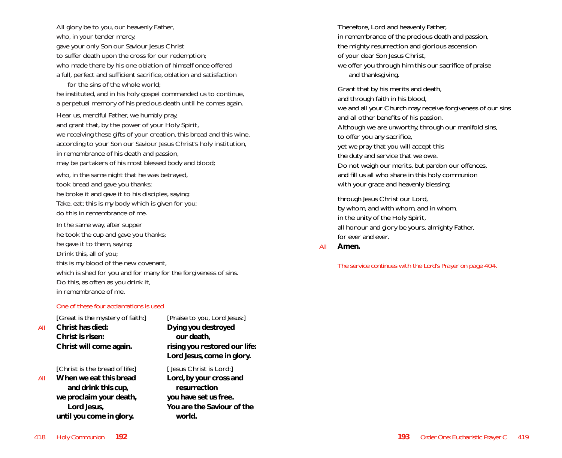All glory be to you, our heavenly Father, who, in your tender mercy, gave your only Son our Saviour Jesus Christ to suffer death upon the cross for our redemption; who made there by his one oblation of himself once offered a full, perfect and sufficient sacrifice, oblation and satisfaction for the sins of the whole world; he instituted, and in his holy gospel commanded us to continue, a perpetual memory of his precious death until he comes again. Hear us, merciful Father, we humbly pray, and grant that, by the power of your Holy Spirit, we receiving these gifts of your creation, this bread and this wine, according to your Son our Saviour Jesus Christ's holy institution, in remembrance of his death and passion, may be partakers of his most blessed body and blood; who, in the same night that he was betrayed, took bread and gave you thanks; he broke it and gave it to his disciples, saying: Take, eat; this is my body which is given for you; do this in remembrance of me. In the same way, after supper he took the cup and gave you thanks; he gave it to them, saying: Drink this, all of you;

this is my blood of the new covenant, which is shed for you and for many for the forgiveness of sins. Do this, as often as you drink it, in remembrance of me.

#### *One of these four acclamations is used*

| All | [Great is the mystery of faith:]<br>Christ has died:<br>Christ is risen:<br>Christ will come again.                                                   | [Praise to you, Lord Jesus:]<br>Dying you destroyed<br>our death,<br>rising you restored our life:<br>Lord Jesus, come in glory.    |
|-----|-------------------------------------------------------------------------------------------------------------------------------------------------------|-------------------------------------------------------------------------------------------------------------------------------------|
| All | [Christ is the bread of life:]<br>When we eat this bread<br>and drink this cup,<br>we proclaim your death,<br>Lord Jesus,<br>until you come in glory. | [Jesus Christ is Lord:]<br>Lord, by your cross and<br>resurrection<br>you have set us free.<br>You are the Saviour of the<br>world. |

Therefore, Lord and heavenly Father, in remembrance of the precious death and passion, the mighty resurrection and glorious ascension of your dear Son Jesus Christ, we offer you through him this our sacrifice of praise and thanksgiving.

Grant that by his merits and death, and through faith in his blood, we and all your Church may receive forgiveness of our sins and all other benefits of his passion. Although we are unworthy, through our manifold sins, to offer you any sacrifice, yet we pray that you will accept this the duty and service that we owe. Do not weigh our merits, but pardon our offences, and fill us all who share in this holy communion with your grace and heavenly blessing;

through Jesus Christ our Lord, by whom, and with whom, and in whom, in the unity of the Holy Spirit, all honour and glory be yours, almighty Father, for ever and ever.

*All* **Amen.**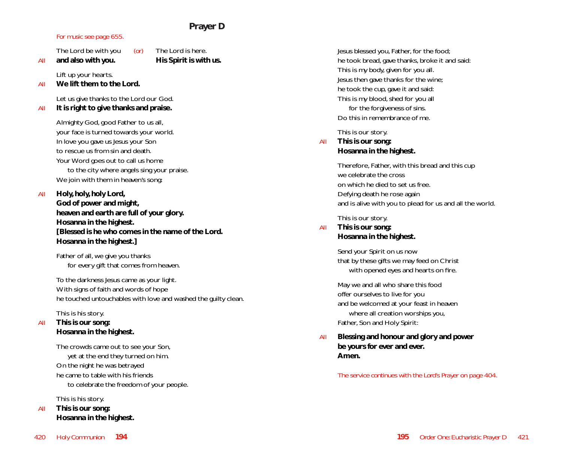# **Prayer D**

#### *For music see page 655.*

The Lord be with you *(or)* The Lord is here. *All* **and also with you. His Spirit is with us.**

Lift up your hearts.

*All* **We lift them to the Lord.**

Let us give thanks to the Lord our God.

*All* **It is right to give thanks and praise.**

Almighty God, good Father to us all, your face is turned towards your world. In love you gave us Jesus your Son to rescue us from sin and death. Your Word goes out to call us home to the city where angels sing your praise. We join with them in heaven's song:

*All* **Holy, holy, holy Lord, God of power and might, heaven and earth are full of your glory. Hosanna in the highest. [Blessed is he who comes in the name of the Lord. Hosanna in the highest.]**

Father of all, we give you thanks for every gift that comes from heaven.

To the darkness Jesus came as your light. With signs of faith and words of hope he touched untouchables with love and washed the guilty clean.

This is his story.

# *All* **This is our song: Hosanna in the highest.**

The crowds came out to see your Son, yet at the end they turned on him. On the night he was betrayed he came to table with his friends to celebrate the freedom of your people.

This is his story.

*All* **This is our song: Hosanna in the highest.**

Jesus blessed you, Father, for the food; he took bread, gave thanks, broke it and said: This is my body, given for you all. Jesus then gave thanks for the wine; he took the cup, gave it and said: This is my blood, shed for you all for the forgiveness of sins. Do this in remembrance of me.

### This is our story.

#### *All* **This is our song: Hosanna in the highest.**

Therefore, Father, with this bread and this cup we celebrate the cross on which he died to set us free. Defying death he rose again and is alive with you to plead for us and all the world.

# This is our story.

#### *All* **This is our song: Hosanna in the highest.**

Send your Spirit on us now that by these gifts we may feed on Christ with opened eyes and hearts on fire.

May we and all who share this food offer ourselves to live for you and be welcomed at your feast in heaven where all creation worships you, Father, Son and Holy Spirit:

*All* **Blessing and honour and glory and power be yours for ever and ever. Amen.**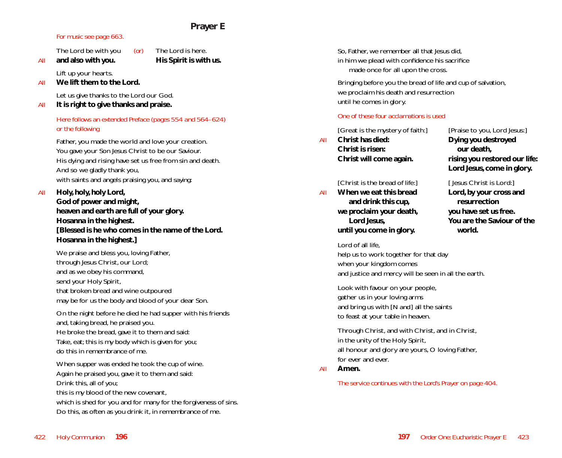# **Prayer E**

#### *For music see page 663.*

The Lord be with you *(or)* The Lord is here.

*All* **and also with you. His Spirit is with us.**

Lift up your hearts.

*All* **We lift them to the Lord.**

Let us give thanks to the Lord our God.

*All* **It is right to give thanks and praise.**

# *Here follows an extended Preface (pages 554 and 564–624) or the following*

Father, you made the world and love your creation. You gave your Son Jesus Christ to be our Saviour. His dying and rising have set us free from sin and death. And so we gladly thank you, with saints and angels praising you, and *saying*:

# *All* **Holy, holy, holy Lord,**

**God of power and might, heaven and earth are full of your glory. Hosanna in the highest. [Blessed is he who comes in the name of the Lord. Hosanna in the highest.]**

We praise and bless you, loving Father, through Jesus Christ, our Lord; and as we obey his command, send your Holy Spirit, that broken bread and wine outpoured may be for us the body and blood of your dear Son.

On the night before he died he had supper with his friends and, taking bread, he praised you. He broke the bread, gave it to them and said: Take, eat; this is my body which is given for you; do this in remembrance of me.

When supper was ended he took the cup of wine. Again he praised you, gave it to them and said: Drink this, all of you; this is my blood of the new covenant, which is shed for you and for many for the forgiveness of sins. Do this, as often as you drink it, in remembrance of me.

So, Father, we remember all that Jesus did, in him we plead with confidence his sacrifice made once for all upon the cross.

Bringing before you the bread of life and cup of salvation, we proclaim his death and resurrection until he comes in glory.

# *One of these four acclamations is used*

|     | [Great is the mystery of faith:] | [Praise to you, Lord Jesus:]  |
|-----|----------------------------------|-------------------------------|
| All | Christ has died:                 | Dying you destroyed           |
|     | Christ is risen:                 | our death.                    |
|     | Christ will come again.          | rising you restored our life: |
|     |                                  | Lord lesus come in alory      |

#### [Christ is the bread of life:] [ Jesus Christ is Lord:]

*All* **When we eat this bread Lord, by your cross and and drink this cup, resurrection we proclaim your death, you have set us free. until you come in glory. world.**

# **Lord Jesus, come in glory.**

**Lord Jesus, You are the Saviour of the** 

## Lord of all life, help us to work together for that day when your kingdom comes and justice and mercy will be seen in all the earth.

Look with favour on your people, gather us in your loving arms and bring us with [*N and*] all the saints to feast at your table in heaven.

Through Christ, and with Christ, and in Christ, in the unity of the Holy Spirit, all honour and glory are yours, O loving Father, for ever and ever.

*All* **Amen.**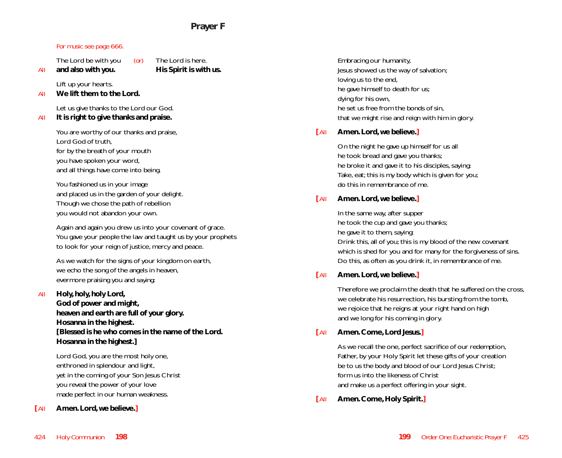#### *For music see page 666.*

The Lord be with you *(or)* The Lord is here.

*All* **and also with you. His Spirit is with us.**

Lift up your hearts.

*All* **We lift them to the Lord.**

Let us give thanks to the Lord our God.

*All* **It is right to give thanks and praise.**

You are worthy of our thanks and praise, Lord God of truth, for by the breath of your mouth you have spoken your word, and all things have come into being.

You fashioned us in your image and placed us in the garden of your delight. Though we chose the path of rebellion you would not abandon your own.

Again and again you drew us into your covenant of grace. You gave your people the law and taught us by your prophets to look for your reign of justice, mercy and peace.

As we watch for the signs of your kingdom on earth, we echo the song of the angels in heaven, evermore praising you and *saying*:

*All* **Holy, holy, holy Lord,**

**God of power and might, heaven and earth are full of your glory. Hosanna in the highest. [Blessed is he who comes in the name of the Lord. Hosanna in the highest.]**

Lord God, you are the most holy one, enthroned in splendour and light, yet in the coming of your Son Jesus Christ you reveal the power of your love made perfect in our human weakness.

**[***All* **Amen. Lord, we believe.]**

Embracing our humanity, Jesus showed us the way of salvation; loving us to the end, he gave himself to death for us; dying for his own, he set us free from the bonds of sin, that we might rise and reign with him in glory.

### **[***All* **Amen. Lord, we believe.]**

On the night he gave up himself for us all he took bread and gave you thanks; he broke it and gave it to his disciples, saying: Take, eat; this is my body which is given for you; do this in remembrance of me.

### **[***All* **Amen. Lord, we believe.]**

In the same way, after supper he took the cup and gave you thanks; he gave it to them, saying: Drink this, all of you; this is my blood of the new covenant which is shed for you and for many for the forgiveness of sins. Do this, as often as you drink it, in remembrance of me.

### **[***All* **Amen. Lord, we believe.]**

Therefore we proclaim the death that he suffered on the cross, we celebrate his resurrection, his bursting from the tomb, we rejoice that he reigns at your right hand on high and we long for his coming in glory.

### **[***All* **Amen. Come, Lord Jesus.]**

As we recall the one, perfect sacrifice of our redemption, Father, by your Holy Spirit let these gifts of your creation be to us the body and blood of our Lord Jesus Christ; form us into the likeness of Christ and make us a perfect offering in your sight.

**[***All* **Amen. Come, Holy Spirit.]**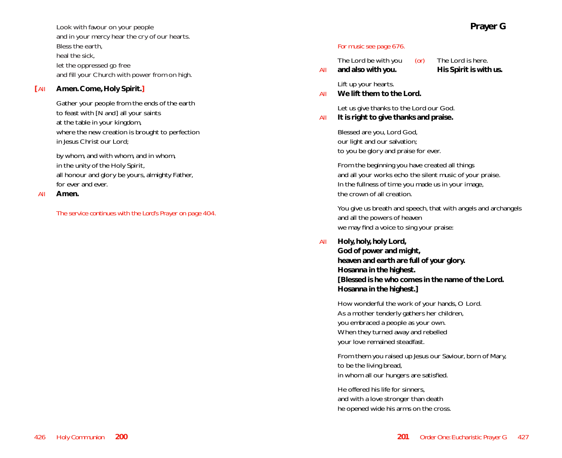Look with favour on your people and in your mercy hear the cry of our hearts. Bless the earth, heal the sick, let the oppressed go free and fill your Church with power from on high.

#### **[***All* **Amen. Come, Holy Spirit.]**

Gather your people from the ends of the earth to feast with [*N and*] all your saints at the table in your kingdom, where the new creation is brought to perfection in Jesus Christ our Lord;

by whom, and with whom, and in whom, in the unity of the Holy Spirit, all honour and glory be yours, almighty Father, for ever and ever.

*All* **Amen.**

*The service continues with the Lord's Prayer on page 404.*

#### *For music see page 676.*

| All | The Lord be with you                       | (0r) | The Lord is here.      |
|-----|--------------------------------------------|------|------------------------|
|     | and also with you.<br>Lift up your hearts. |      | His Spirit is with us. |

*All* **We lift them to the Lord.**

Let us give thanks to the Lord our God.

*All* **It is right to give thanks and praise.**

Blessed are you, Lord God, our light and our salvation; to you be glory and praise for ever.

From the beginning you have created all things and all your works echo the silent music of your praise. In the fullness of time you made us in your image, the crown of all creation.

You give us breath and speech, that with angels and archangels and all the powers of heaven we may find a voice to sing your praise:

*All* **Holy, holy, holy Lord, God of power and might, heaven and earth are full of your glory. Hosanna in the highest. [Blessed is he who comes in the name of the Lord. Hosanna in the highest.]**

How wonderful the work of your hands, O Lord. As a mother tenderly gathers her children, you embraced a people as your own. When they turned away and rebelled your love remained steadfast.

From them you raised up Jesus our Saviour, born of Mary, to be the living bread, in whom all our hungers are satisfied.

He offered his life for sinners, and with a love stronger than death he opened wide his arms on the cross.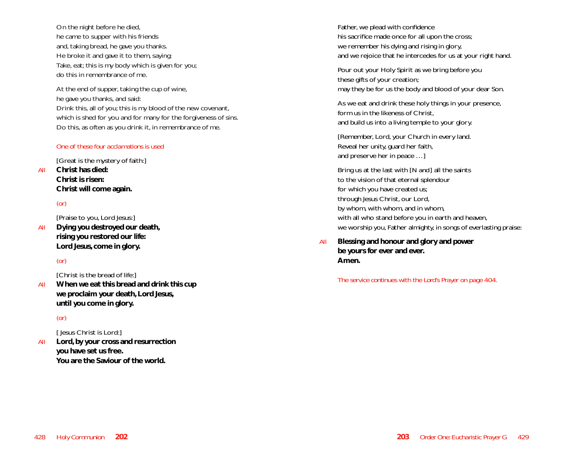On the night before he died, he came to supper with his friends and, taking bread, he gave you thanks. He broke it and gave it to them, saying: Take, eat; this is my body which is given for you; do this in remembrance of me.

At the end of supper, taking the cup of wine, he gave you thanks, and said: Drink this, all of you; this is my blood of the new covenant, which is shed for you and for many for the forgiveness of sins. Do this, as often as you drink it, in remembrance of me.

#### *One of these four acclamations is used*

[Great is the mystery of faith:] *All* **Christ has died: Christ is risen:**

**Christ will come again.**

### *(or)*

[Praise to you, Lord Jesus:]

*All* **Dying you destroyed our death, rising you restored our life: Lord Jesus, come in glory.**

# *(or)*

[Christ is the bread of life:]

*All* **When we eat this bread and drink this cup we proclaim your death, Lord Jesus, until you come in glory.**

# *(or)*

[ Jesus Christ is Lord:]

*All* **Lord, by your cross and resurrection you have set us free. You are the Saviour of the world.**

Father, we plead with confidence his sacrifice made once for all upon the cross; we remember his dying and rising in glory, and we rejoice that he intercedes for us at your right hand.

Pour out your Holy Spirit as we bring before you these gifts of your creation; may they be for us the body and blood of your dear Son.

As we eat and drink these holy things in your presence, form us in the likeness of Christ, and build us into a living temple to your glory.

[Remember, Lord, your Church in every land. Reveal her unity, guard her faith, and preserve her in peace …]

Bring us at the last with [*N and*] all the saints to the vision of that eternal splendour for which you have created us; through Jesus Christ, our Lord, by whom, with whom, and in whom, with all who stand before you in earth and heaven, we worship you, Father almighty, in songs of everlasting praise:

*All* **Blessing and honour and glory and power be yours for ever and ever. Amen.**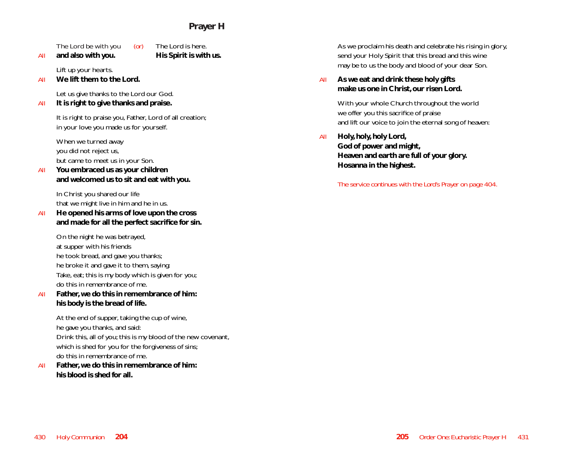# **Prayer H**

The Lord be with you *(or)* The Lord is here.

*All* **and also with you. His Spirit is with us.**

Lift up your hearts.

*All* **We lift them to the Lord.**

Let us give thanks to the Lord our God.

*All* **It is right to give thanks and praise.**

It is right to praise you, Father, Lord of all creation; in your love you made us for yourself.

When we turned away you did not reject us, but came to meet us in your Son.

*All* **You embraced us as your children and welcomed us to sit and eat with you.**

> In Christ you shared our life that we might live in him and he in us.

*All* **He opened his arms of love upon the cross and made for all the perfect sacrifice for sin.**

> On the night he was betrayed, at supper with his friends he took bread, and gave you thanks; he broke it and gave it to them, saying: Take, eat; this is my body which is given for you; do this in remembrance of me.

*All* **Father, we do this in remembrance of him: his body is the bread of life.**

At the end of supper, taking the cup of wine, he gave you thanks, and said: Drink this, all of you; this is my blood of the new covenant, which is shed for you for the forgiveness of sins; do this in remembrance of me.

*All* **Father, we do this in remembrance of him: his blood is shed for all.**

As we proclaim his death and celebrate his rising in glory, send your Holy Spirit that this bread and this wine may be to us the body and blood of your dear Son.

*All* **As we eat and drink these holy gifts make us one in Christ, our risen Lord.**

> With your whole Church throughout the world we offer you this sacrifice of praise and lift our voice to join the eternal song of heaven:

*All* **Holy, holy, holy Lord, God of power and might, Heaven and earth are full of your glory. Hosanna in the highest.**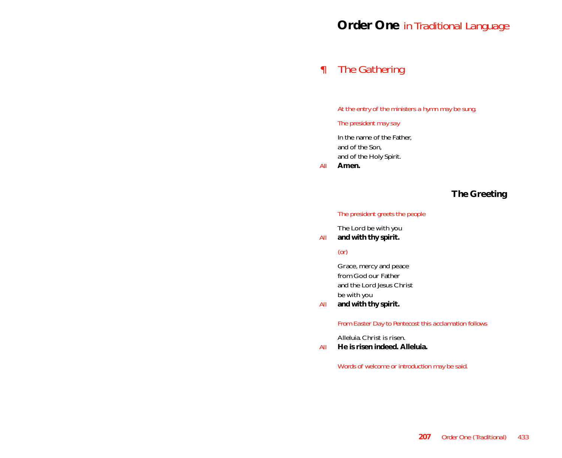# **Order One** *in Traditional Language*

# *¶ The Gathering*

#### *At the entry of the ministers a hymn may be sung.*

#### *The president may say*

In the name of the Father, and of the Son, and of the Holy Spirit.

*All* **Amen.**

# **The Greeting**

#### *The president greets the people*

The Lord be with you

*All* **and with thy spirit.**

#### *(or)*

Grace, mercy and peace from God our Father and the Lord Jesus Christ be with you

*All* **and with thy spirit.**

#### *From Easter Day to Pentecost this acclamation follows*

Alleluia. Christ is risen.

*All* **He is risen indeed. Alleluia.**

*Words of welcome or introduction may be said.*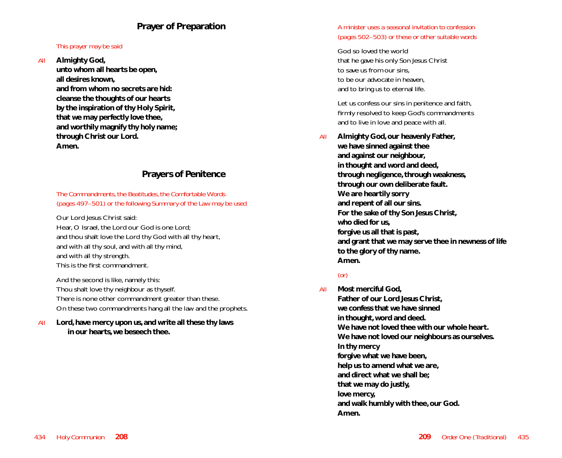# **Prayer of Preparation**

#### *This prayer may be said*

*All* **Almighty God,**

**unto whom all hearts be open, all desires known, and from whom no secrets are hid: cleanse the thoughts of our hearts by the inspiration of thy Holy Spirit, that we may perfectly love thee, and worthily magnify thy holy name; through Christ our Lord. Amen.**

#### **Prayers of Penitence**

#### *The Commandments, the Beatitudes, the Comfortable Words (pages 497–501) or the following Summary of the Law may be used*

Our Lord Jesus Christ said: Hear, O Israel, the Lord our God is one Lord; and thou shalt love the Lord thy God with all thy heart, and with all thy soul, and with all thy mind, and with all thy strength. This is the first commandment.

And the second is like, namely this: Thou shalt love thy neighbour as thyself. There is none other commandment greater than these. On these two commandments hang all the law and the prophets.

*All* **Lord, have mercy upon us, and write all these thy laws in our hearts, we beseech thee.**

#### *A minister uses a seasonal invitation to confession (pages 502–503) or these or other suitable words*

God so loved the world that he gave his only Son Jesus Christ to save us from our sins, to be our advocate in heaven, and to bring us to eternal life.

Let us confess our sins in penitence and faith, firmly resolved to keep God's commandments and to live in love and peace with all.

**All Almighty God, our heavenly Father, we have sinned against thee and against our neighbour, in thought and word and deed, through negligence, through weakness, through our own deliberate fault. We are heartily sorry and repent of all our sins. For the sake of thy Son Jesus Christ, who died for us, forgive us all that is past, and grant that we may serve thee in newness of life to the glory of thy name. Amen.**

### *(or)*

*All* **Most merciful God, Father of our Lord Jesus Christ, we confess that we have sinned in thought, word and deed. We have not loved thee with our whole heart. We have not loved our neighbours as ourselves. In thy mercy forgive what we have been, help us to amend what we are, and direct what we shall be; that we may do justly, love mercy, and walk humbly with thee, our God. Amen.**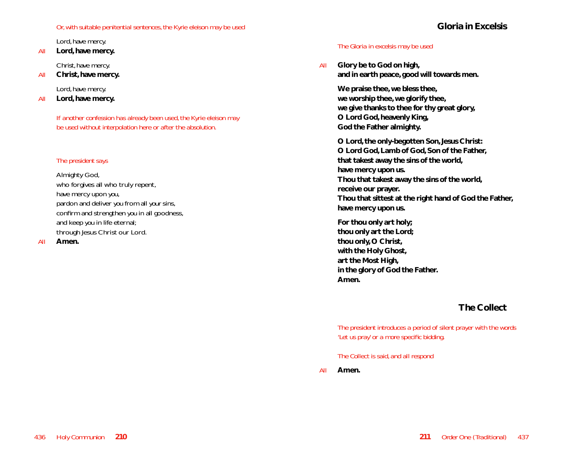#### *Or, with suitable penitential sentences, the Kyrie eleison may be used*

Lord, have mercy.

#### *All* **Lord, have mercy.**

Christ, have mercy.

*All* **Christ, have mercy.**

Lord, have mercy.

*All* **Lord, have mercy.**

*If another confession has already been used, the Kyrie eleison may be used without interpolation here or after the absolution.*

#### *The president says*

Almighty God, who forgives all who truly repent, have mercy upon *you*, pardon and deliver *you* from all *your* sins, confirm and strengthen *you* in all goodness, and keep *you* in life eternal; through Jesus Christ our Lord.

*All* **Amen.**

#### *The Gloria in excelsis may be used*

*All* **Glory be to God on high, and in earth peace, good will towards men.**

> **We praise thee, we bless thee, we worship thee, we glorify thee, we give thanks to thee for thy great glory, O Lord God, heavenly King, God the Father almighty.**

**O Lord, the only-begotten Son, Jesus Christ: O Lord God, Lamb of God, Son of the Father, that takest away the sins of the world, have mercy upon us. Thou that takest away the sins of the world, receive our prayer. Thou that sittest at the right hand of God the Father, have mercy upon us.**

**For thou only art holy; thou only art the Lord; thou only, O Christ, with the Holy Ghost, art the Most High, in the glory of God the Father. Amen.**

# **The Collect**

*The president introduces a period of silent prayer with the words 'Let us pray' or a more specific bidding.*

#### *The Collect is said, and all respond*

*All* **Amen.**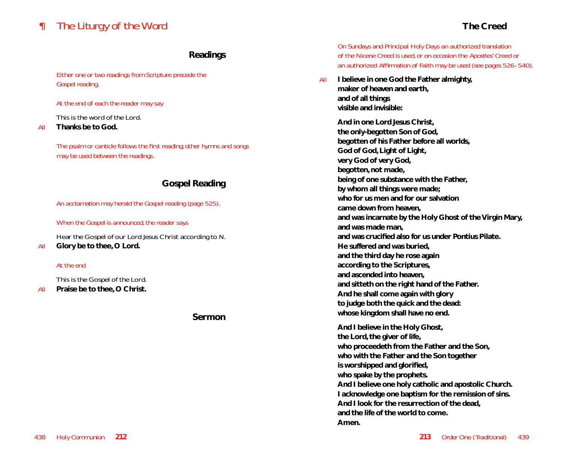# *¶ The Liturgy of the Word*

# **The Creed**

# **Readings**

*Either one or two readings from Scripture precede the Gospel reading.*

#### *At the end of each the reader may say*

This is the word of the Lord.

# *All* **Thanks be to God.**

*The psalm or canticle follows the first reading; other hymns and songs may be used between the readings.*

# **Gospel Reading**

*An acclamation may herald the Gospel reading (page 525).*

*When the Gospel is announced, the reader says*

Hear the Gospel of our Lord Jesus Christ according to *N*.

All **Glory be to thee, O Lord.** 

# *At the end*

This is the Gospel of the Lord. *All* **Praise be to thee, O Christ.**

# **Sermon**

*On Sundays and Principal Holy Days an authorized translation of the Nicene Creed is used, or on occasion the Apostles' Creed or an authorized Affirmation of Faith may be used (see pages 526–540).*

*All* **I believe in one God the Father almighty, maker of heaven and earth, and of all things visible and invisible:**

> **And in one Lord Jesus Christ, the only-begotten Son of God, begotten of his Father before all worlds, God of God, Light of Light, very God of very God, begotten, not made, being of one substance with the Father, by whom all things were made; who for us men and for our salvation came down from heaven, and was incarnate by the Holy Ghost of the Virgin Mary, and was made man, and was crucified also for us under Pontius Pilate. He suffered and was buried, and the third day he rose again according to the Scriptures, and ascended into heaven, and sitteth on the right hand of the Father. And he shall come again with glory to judge both the quick and the dead: whose kingdom shall have no end.**

**And I believe in the Holy Ghost, the Lord, the giver of life, who proceedeth from the Father and the Son, who with the Father and the Son together is worshipped and glorified, who spake by the prophets. And I believe one holy catholic and apostolic Church. I acknowledge one baptism for the remission of sins. And I look for the resurrection of the dead, and the life of the world to come. Amen.**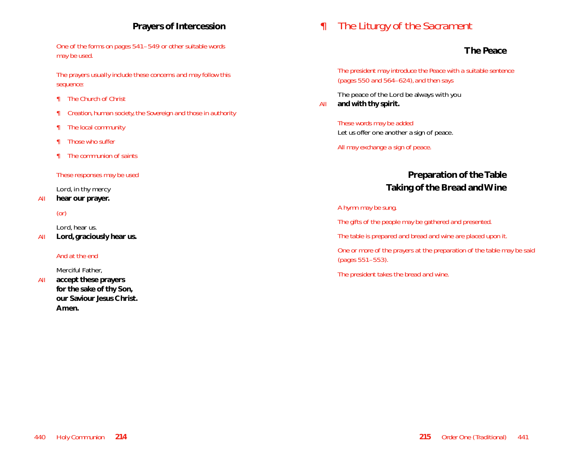# **Prayers of Intercession**

*One of the forms on pages 541–549 or other suitable words may be used.*

*The prayers usually include these concerns and may follow this sequence:*

- ¶ *The Church of Christ*
- ¶ *Creation, human society, the Sovereign and those in authority*
- ¶ *The local community*
- ¶ *Those who suffer*
- ¶ *The communion of saints*

*These responses may be used*

Lord, in thy mercy

*All* **hear our prayer.**

#### *(or)*

Lord, hear us.

*All* **Lord, graciously hear us.**

#### *And at the end*

Merciful Father,

*All* **accept these prayers for the sake of thy Son, our Saviour Jesus Christ. Amen.**

# *¶ The Liturgy of the Sacrament*

# **The Peace**

*The president may introduce the Peace with a suitable sentence (pages 550 and 564–624), and then says*

The peace of the Lord be always with you *All* **and with thy spirit.**

> *These words may be added* Let us offer one another a sign of peace.

*All may exchange a sign of peace.*

# **Preparation of the Table Taking of the Bread and Wine**

#### *A hymn may be sung.*

*The gifts of the people may be gathered and presented.*

*The table is prepared and bread and wine are placed upon it.*

*One or more of the prayers at the preparation of the table may be said (pages 551–553).*

*The president takes the bread and wine.*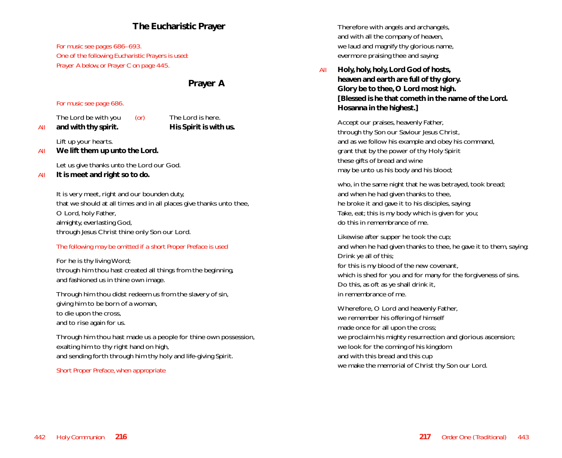# **The Eucharistic Prayer**

*For music see pages 686–693. One of the following Eucharistic Prayers is used: Prayer A below, or Prayer C on page 445.*

### **Prayer A**

#### *For music see page 686.*

The Lord be with you *(or)* The Lord is here. All and with thy spirit. **His Spirit is with us.** 

Lift up your hearts.

*All* **We lift them up unto the Lord.**

Let us give thanks unto the Lord our God.

#### *All* **It is meet and right so to do.**

It is very meet, right and our bounden duty, that we should at all times and in all places give thanks unto thee, O Lord, holy Father, almighty, everlasting God, through Jesus Christ thine only Son our Lord.

#### *The following may be omitted if a short Proper Preface is used*

For he is thy living Word; through him thou hast created all things from the beginning, and fashioned us in thine own image.

Through him thou didst redeem us from the slavery of sin, giving him to be born of a woman, to die upon the cross, and to rise again for us.

Through him thou hast made us a people for thine own possession, exalting him to thy right hand on high, and sending forth through him thy holy and life-giving Spirit.

*Short Proper Preface, when appropriate*

Therefore with angels and archangels, and with all the company of heaven, we laud and magnify thy glorious name, evermore praising thee and *saying*:

*All* **Holy, holy, holy, Lord God of hosts, heaven and earth are full of thy glory. Glory be to thee, O Lord most high. [Blessed is he that cometh in the name of the Lord. Hosanna in the highest.]**

Accept our praises, heavenly Father, through thy Son our Saviour Jesus Christ, and as we follow his example and obey his command, grant that by the power of thy Holy Spirit these gifts of bread and wine may be unto us his body and his blood;

who, in the same night that he was betrayed, took bread; and when he had given thanks to thee, he broke it and gave it to his disciples, saying: Take, eat; this is my body which is given for you; do this in remembrance of me.

Likewise after supper he took the cup; and when he had given thanks to thee, he gave it to them, saying: Drink ye all of this; for this is my blood of the new covenant, which is shed for you and for many for the forgiveness of sins. Do this, as oft as ye shall drink it, in remembrance of me.

Wherefore, O Lord and heavenly Father, we remember his offering of himself made once for all upon the cross; we proclaim his mighty resurrection and glorious ascension; we look for the coming of his kingdom and with this bread and this cup we make the memorial of Christ thy Son our Lord.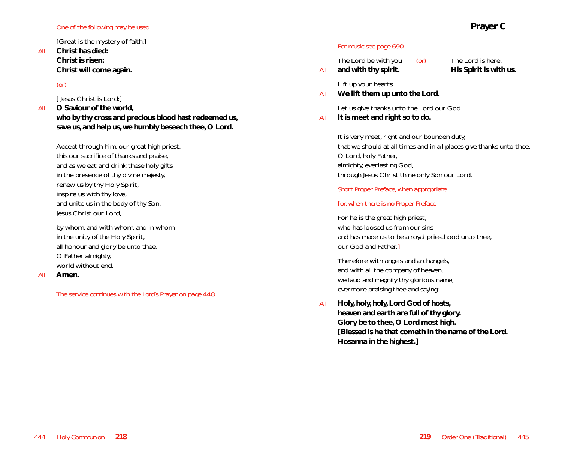#### *One of the following may be used*

[Great is the mystery of faith:]

*All* **Christ has died: Christ is risen: Christ will come again.**

## *(or)*

[ Jesus Christ is Lord:]

*All* **O Saviour of the world, who by thy cross and precious blood hast redeemed us, save us, and help us, we humbly beseech thee, O Lord.**

Accept through him, our great high priest, this our sacrifice of thanks and praise, and as we eat and drink these holy gifts in the presence of thy divine majesty, renew us by thy Holy Spirit, inspire us with thy love, and unite us in the body of thy Son, Jesus Christ our Lord,

by whom, and with whom, and in whom, in the unity of the Holy Spirit, all honour and glory be unto thee, O Father almighty, world without end.

*All* **Amen.**

*The service continues with the Lord's Prayer on page 448.*

#### *For music see page 690.*

|     | The Lord be with you | (0r) | The Lord is here.      |
|-----|----------------------|------|------------------------|
| All | and with thy spirit. |      | His Spirit is with us. |

Lift up your hearts.

*All* **We lift them up unto the Lord.**

Let us give thanks unto the Lord our God.

*All* **It is meet and right so to do.**

It is very meet, right and our bounden duty, that we should at all times and in all places give thanks unto thee, O Lord, holy Father, almighty, everlasting God, through Jesus Christ thine only Son our Lord.

#### *Short Proper Preface, when appropriate*

#### [*or, when there is no Proper Preface*

For he is the great high priest, who has loosed us from our sins and has made us to be a royal priesthood unto thee, our God and Father.]

Therefore with angels and archangels, and with all the company of heaven, we laud and magnify thy glorious name, evermore praising thee and *saying*:

*All* **Holy, holy, holy, Lord God of hosts, heaven and earth are full of thy glory. Glory be to thee, O Lord most high. [Blessed is he that cometh in the name of the Lord. Hosanna in the highest.]**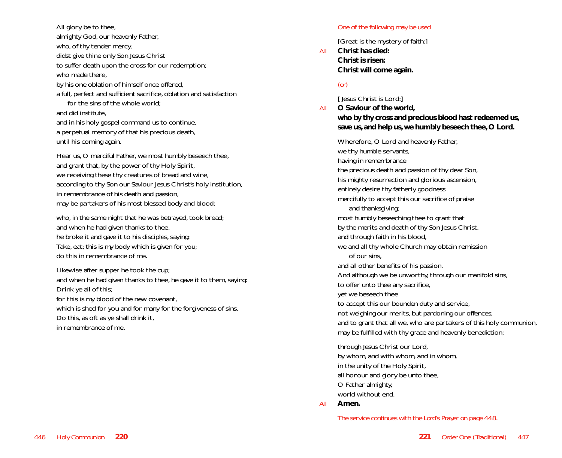All glory be to thee, almighty God, our heavenly Father, who, of thy tender mercy, didst give thine only Son Jesus Christ to suffer death upon the cross for our redemption; who made there, by his one oblation of himself once offered, a full, perfect and sufficient sacrifice, oblation and satisfaction for the sins of the whole world; and did institute, and in his holy gospel command us to continue, a perpetual memory of that his precious death, until his coming again.

Hear us, O merciful Father, we most humbly beseech thee, and grant that, by the power of thy Holy Spirit, we receiving these thy creatures of bread and wine, according to thy Son our Saviour Jesus Christ's holy institution, in remembrance of his death and passion, may be partakers of his most blessed body and blood;

who, in the same night that he was betrayed, took bread; and when he had given thanks to thee, he broke it and gave it to his disciples, saying: Take, eat; this is my body which is given for you; do this in remembrance of me.

Likewise after supper he took the cup; and when he had given thanks to thee, he gave it to them, saying: Drink ye all of this; for this is my blood of the new covenant, which is shed for you and for many for the forgiveness of sins. Do this, as oft as ye shall drink it, in remembrance of me.

#### *One of the following may be used*

[Great is the mystery of faith:] *All* **Christ has died: Christ is risen: Christ will come again.**

## *(or)*

[ Jesus Christ is Lord:]

*All* **O Saviour of the world, who by thy cross and precious blood hast redeemed us, save us, and help us, we humbly beseech thee, O Lord.** Wherefore, O Lord and heavenly Father, we thy humble servants, having in remembrance the precious death and passion of thy dear Son, his mighty resurrection and glorious ascension, entirely desire thy fatherly goodness

mercifully to accept this our sacrifice of praise and thanksgiving; most humbly beseeching thee to grant that by the merits and death of thy Son Jesus Christ, and through faith in his blood, we and all thy whole Church may obtain remission of our sins, and all other benefits of his passion. And although we be unworthy, through our manifold sins, to offer unto thee any sacrifice, yet we beseech thee to accept this our bounden duty and service, not weighing our merits, but pardoning our offences; and to grant that all we, who are partakers of this holy communion, may be fulfilled with thy grace and heavenly benediction;

through Jesus Christ our Lord, by whom, and with whom, and in whom, in the unity of the Holy Spirit, all honour and glory be unto thee, O Father almighty, world without end.

*All* **Amen.**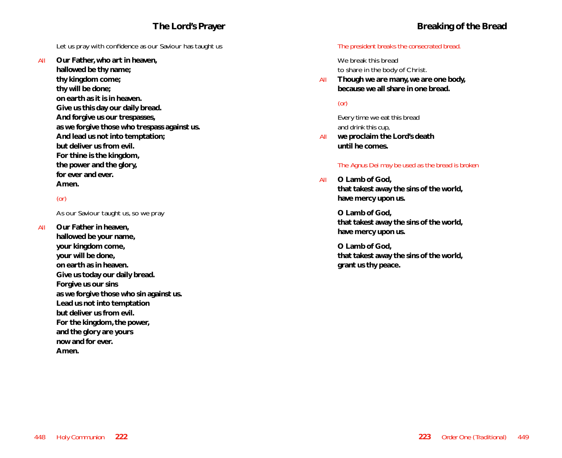Let us pray with confidence as our Saviour has taught us

- *All* **Our Father, who art in heaven, hallowed be thy name;**
	- **thy kingdom come;**
	- **thy will be done;**
	- **on earth as it is in heaven.**
	- **Give us this day our daily bread.**
	-
	- **And forgive us our trespasses,**
	- **as we forgive those who trespass against us.**
	- **And lead us not into temptation;**
	- **but deliver us from evil.**
	- **For thine is the kingdom,**
	- **the power and the glory,**
	- **for ever and ever.**

#### **Amen.**

# *(or)*

As our Saviour taught us, so we pray

*All* **Our Father in heaven, hallowed be your name, your kingdom come, your will be done, on earth as in heaven. Give us today our daily bread. Forgive us our sins as we forgive those who sin against us. Lead us not into temptation but deliver us from evil. For the kingdom, the power, and the glory are yours now and for ever. Amen.**

#### *The president breaks the consecrated bread.*

We break this bread to share in the body of Christ.

*All* **Though we are many, we are one body, because we all share in one bread.**

## *(or)*

Every time we eat this bread and drink this cup,

*All* **we proclaim the Lord's death until he comes.**

#### *The Agnus Dei may be used as the bread is broken*

*All* **O Lamb of God, that takest away the sins of the world, have mercy upon us.**

> **O Lamb of God, that takest away the sins of the world, have mercy upon us.**

> **O Lamb of God, that takest away the sins of the world, grant us thy peace.**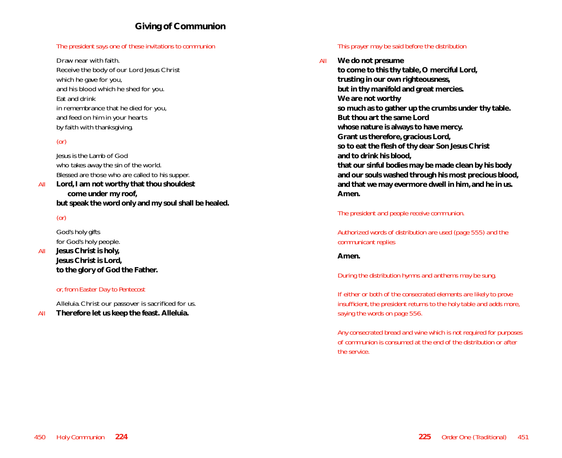#### *The president says one of these invitations to communion*

Draw near with faith. Receive the body of our Lord Jesus Christ which he gave for you, and his blood which he shed for you. Eat and drink in remembrance that he died for you, and feed on him in your hearts by faith with thanksgiving.

# *(or)*

Jesus is the Lamb of God who takes away the sin of the world. Blessed are those who are called to his supper.

*All* **Lord, I am not worthy that thou shouldest come under my roof, but speak the word only and my soul shall be healed.**

# *(or)*

God's holy gifts for God's holy people.

*All* **Jesus Christ is holy, Jesus Christ is Lord, to the glory of God the Father.**

#### *or, from Easter Day to Pentecost*

Alleluia. Christ our passover is sacrificed for us. *All* **Therefore let us keep the feast. Alleluia.**

#### *This prayer may be said before the distribution*

*All* **We do not presume to come to this thy table, O merciful Lord, trusting in our own righteousness, but in thy manifold and great mercies. We are not worthy so much as to gather up the crumbs under thy table. But thou art the same Lord whose nature is always to have mercy. Grant us therefore, gracious Lord, so to eat the flesh of thy dear Son Jesus Christ and to drink his blood, that our sinful bodies may be made clean by his body and our souls washed through his most precious blood, and that we may evermore dwell in him, and he in us. Amen.**

*The president and people receive communion.*

*Authorized words of distribution are used (page 555) and the communicant replies* 

#### **Amen.**

*During the distribution hymns and anthems may be sung.*

*If either or both of the consecrated elements are likely to prove insufficient, the president returns to the holy table and adds more, saying the words on page 556.*

*Any consecrated bread and wine which is not required for purposes of communion is consumed at the end of the distribution or after the service.*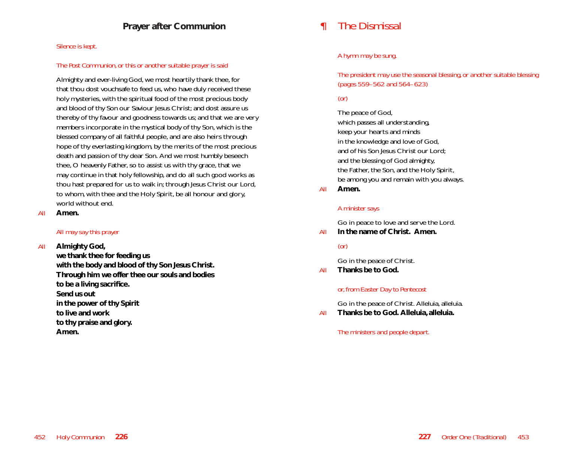#### *Silence is kept.*

#### *The Post Communion, or this or another suitable prayer is said*

Almighty and ever-living God, we most heartily thank thee, for that thou dost vouchsafe to feed us, who have duly received these holy mysteries, with the spiritual food of the most precious body and blood of thy Son our Saviour Jesus Christ; and dost assure us thereby of thy favour and goodness towards us; and that we are very members incorporate in the mystical body of thy Son, which is the blessed company of all faithful people, and are also heirs through hope of thy everlasting kingdom, by the merits of the most precious death and passion of thy dear Son. And we most humbly beseech thee, O heavenly Father, so to assist us with thy grace, that we may continue in that holy fellowship, and do all such good works as thou hast prepared for us to walk in; through Jesus Christ our Lord, to whom, with thee and the Holy Spirit, be all honour and glory, world without end.

*All* **Amen.**

#### *All may say this prayer*

*All* **Almighty God,**

**we thank thee for feeding us with the body and blood of thy Son Jesus Christ. Through him we offer thee our souls and bodies to be a living sacrifice. Send us out in the power of thy Spirit to live and work to thy praise and glory. Amen.**

# *¶ The Dismissal*

#### *A hymn may be sung.*

*The president may use the seasonal blessing, or another suitable blessing (pages 559–562 and 564–623)*

*(or)*

The peace of God, which passes all understanding, keep your hearts and minds in the knowledge and love of God, and of his Son Jesus Christ our Lord; and the blessing of God almighty, the Father, the Son, and the Holy Spirit, be among you and remain with you always.

*All* **Amen.**

#### *A minister says*

Go in peace to love and serve the Lord.

*All* **In the name of Christ. Amen.**

### *(or)*

Go in the peace of Christ.

*All* **Thanks be to God.**

#### *or, from Easter Day to Pentecost*

Go in the peace of Christ. Alleluia, alleluia.

*All* **Thanks be to God. Alleluia, alleluia.**

*The ministers and people depart.*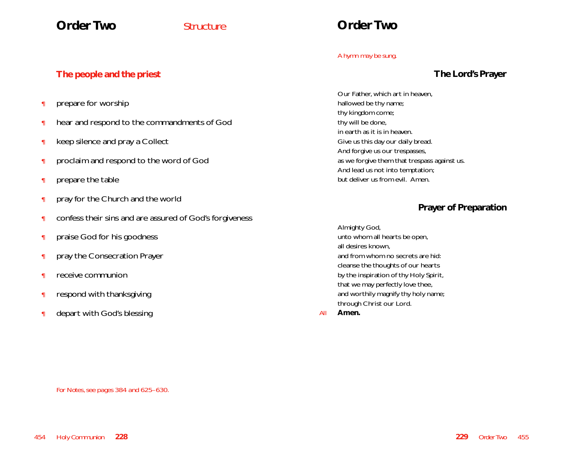# **Order Two** *Structure*

# **Order Two**

#### *A hymn may be sung.*

# **The Lord's Prayer**

Our Father, which art in heaven, hallowed be thy name; thy kingdom come; thy will be done, in earth as it is in heaven. Give us this day our daily bread. And forgive us our trespasses, as we forgive them that trespass against us. And lead us not into temptation; but deliver us from evil. Amen.

# **Prayer of Preparation**

Almighty God, unto whom all hearts be open, all desires known, and from whom no secrets are hid: cleanse the thoughts of our hearts by the inspiration of thy Holy Spirit, that we may perfectly love thee, and worthily magnify thy holy name; through Christ our Lord. *All* **Amen.**

# **The people and the priest**

- ¶ prepare for worship
- **f** hear and respond to the commandments of God
- **T** keep silence and pray a Collect
- ¶ proclaim and respond to the word of God
- ¶ prepare the table
- **f** pray for the Church and the world
- **f** confess their sins and are assured of God's forgiveness
- ¶ praise God for his goodness
- **T** pray the Consecration Prayer
- ¶ receive communion
- ¶ respond with thanksgiving
- ¶ depart with God's blessing

*For Notes, see pages 384 and 625–630.*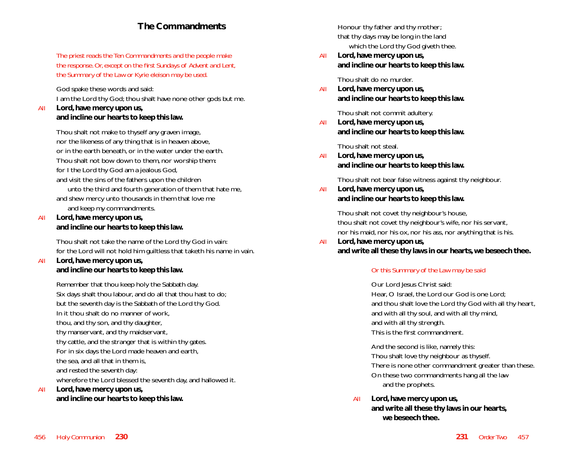# **The Commandments**

*The priest reads the Ten Commandments and the people make the response. Or, except on the first Sundays of Advent and Lent, the Summary of the Law or Kyrie eleison may be used.*

God spake these words and said:

I am the Lord thy God; thou shalt have none other gods but me.

#### *All* **Lord, have mercy upon us, and incline our hearts to keep this law.**

Thou shalt not make to thyself any graven image, nor the likeness of any thing that is in heaven above, or in the earth beneath, or in the water under the earth. Thou shalt not bow down to them, nor worship them: for I the Lord thy God am a jealous God, and visit the sins of the fathers upon the children unto the third and fourth generation of them that hate me, and shew mercy unto thousands in them that love me

and keep my commandments.

# *All* **Lord, have mercy upon us, and incline our hearts to keep this law.**

Thou shalt not take the name of the Lord thy God in vain: for the Lord will not hold him guiltless that taketh his name in vain.

#### *All* **Lord, have mercy upon us, and incline our hearts to keep this law.**

Remember that thou keep holy the Sabbath day. Six days shalt thou labour, and do all that thou hast to do; but the seventh day is the Sabbath of the Lord thy God. In it thou shalt do no manner of work, thou, and thy son, and thy daughter, thy manservant, and thy maidservant, thy cattle, and the stranger that is within thy gates. For in six days the Lord made heaven and earth, the sea, and all that in them is, and rested the seventh day: wherefore the Lord blessed the seventh day, and hallowed it. *All* **Lord, have mercy upon us,**

# **and incline our hearts to keep this law.**

Honour thy father and thy mother; that thy days may be long in the land which the Lord thy God giveth thee.

*All* **Lord, have mercy upon us, and incline our hearts to keep this law.**

Thou shalt do no murder.

*All* **Lord, have mercy upon us, and incline our hearts to keep this law.**

Thou shalt not commit adultery.

*All* **Lord, have mercy upon us, and incline our hearts to keep this law.**

Thou shalt not steal.

*All* **Lord, have mercy upon us, and incline our hearts to keep this law.**

Thou shalt not bear false witness against thy neighbour.

*All* **Lord, have mercy upon us, and incline our hearts to keep this law.**

> Thou shalt not covet thy neighbour's house, thou shalt not covet thy neighbour's wife, nor his servant, nor his maid, nor his ox, nor his ass, nor anything that is his.

*All* **Lord, have mercy upon us, and write all these thy laws in our hearts, we beseech thee.**

### *Or this Summary of the Law may be said*

Our Lord Jesus Christ said: Hear, O Israel, the Lord our God is one Lord; and thou shalt love the Lord thy God with all thy heart, and with all thy soul, and with all thy mind, and with all thy strength. This is the first commandment.

And the second is like, namely this: Thou shalt love thy neighbour as thyself. There is none other commandment greater than these. On these two commandments hang all the law and the prophets.

*All* **Lord, have mercy upon us, and write all these thy laws in our hearts, we beseech thee.**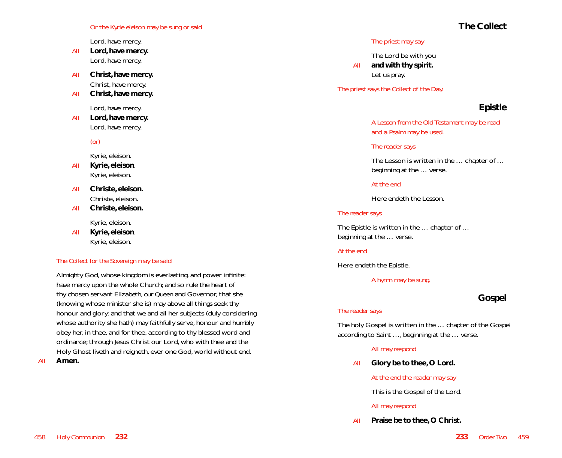#### *Or the Kyrie eleison may be sung or said*

Lord, have mercy.

- *All* **Lord, have mercy.** Lord, have mercy.
- *All* **Christ, have mercy.** Christ, have mercy.
- *All* **Christ, have mercy.**

Lord, have mercy.

*All* **Lord, have mercy.** Lord, have mercy.

#### *(or)*

Kyrie, eleison.

- *All* **Kyrie, eleison**. Kyrie, eleison.
- *All* **Christe, eleison.** Christe, eleison.
- *All* **Christe, eleison.**

Kyrie, eleison.

*All* **Kyrie, eleison**. Kyrie, eleison.

#### *The Collect for the Sovereign may be said*

Almighty God, whose kingdom is everlasting, and power infinite: have mercy upon the whole Church; and so rule the heart of thy chosen servant *Elizabeth*, *our Queen* and Governor, that she (knowing whose minister she is) may above all things seek thy honour and glory: and that we and all her subjects (duly considering whose authority she hath) may faithfully serve, honour and humbly obey her, in thee, and for thee, according to thy blessed word and ordinance; through Jesus Christ our Lord, who with thee and the Holy Ghost liveth and reigneth, ever one God, world without end.

*All* **Amen.**

# **The Collect**

#### *The priest may say*

The Lord be with you *All* **and with thy spirit.** Let us pray.

*The priest says the Collect of the Day.*

# **Epistle**

*A Lesson from the Old Testament may be read and a Psalm may be used.*

#### *The reader says*

The Lesson is written in the … chapter of … beginning at the … verse.

#### *At the end*

Here endeth the Lesson.

#### *The reader says*

The Epistle is written in the … chapter of … beginning at the … verse.

#### *At the end*

Here endeth the Epistle.

#### *A hymn may be sung.*

# **Gospel**

#### *The reader says*

The holy Gospel is written in the … chapter of the Gospel according to Saint …, beginning at the … verse.

#### *All may respond*

**All Glory be to thee, O Lord.** 

*At the end the reader may say*

This is the Gospel of the Lord.

#### *All may respond*

*All* **Praise be to thee, O Christ.**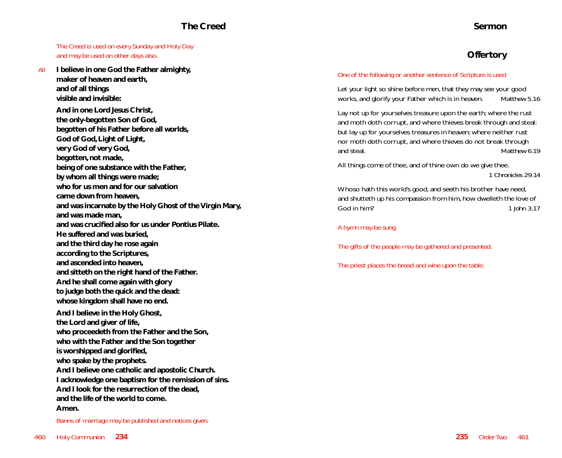# **The Creed**

*The Creed is used on every Sunday and Holy Day and may be used on other days also.*

*All* **I believe in one God the Father almighty, maker of heaven and earth, and of all things visible and invisible:**

**And in one Lord Jesus Christ, the only-begotten Son of God, begotten of his Father before all worlds, God of God, Light of Light, very God of very God, begotten, not made, being of one substance with the Father, by whom all things were made; who for us men and for our salvation came down from heaven, and was incarnate by the Holy Ghost of the Virgin Mary, and was made man, and was crucified also for us under Pontius Pilate. He suffered and was buried, and the third day he rose again according to the Scriptures, and ascended into heaven, and sitteth on the right hand of the Father. And he shall come again with glory to judge both the quick and the dead: whose kingdom shall have no end. And I believe in the Holy Ghost, the Lord and giver of life, who proceedeth from the Father and the Son, who with the Father and the Son together is worshipped and glorified, who spake by the prophets. And I believe one catholic and apostolic Church. I acknowledge one baptism for the remission of sins. And I look for the resurrection of the dead,**

**and the life of the world to come. Amen.**

*Banns of marriage may be published and notices given.*

# **Offertory**

#### *One of the following or another sentence of Scripture is used*

Let your light so shine before men, that they may see your good works, and glorify your Father which is in heaven. *Matthew 5.16*

Lay not up for yourselves treasure upon the earth; where the rust and moth doth corrupt, and where thieves break through and steal: but lay up for yourselves treasures in heaven; where neither rust nor moth doth corrupt, and where thieves do not break through and steal. *Matthew 6.19*

All things come of thee, and of thine own do we give thee.

*1 Chronicles 29.14*

Whoso hath this world's good, and seeth his brother have need, and shutteth up his compassion from him, how dwelleth the love of God in him? *1 John 3.17*

*A hymn may be sung.*

*The gifts of the people may be gathered and presented.*

*The priest places the bread and wine upon the table.*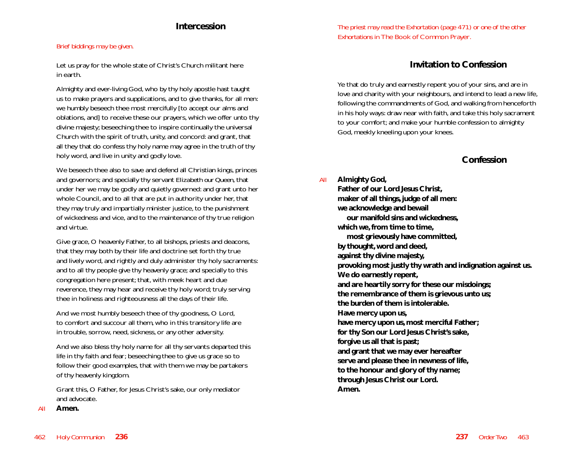# **Intercession**

#### *Brief biddings may be given.*

Let us pray for the whole state of Christ's Church militant here in earth.

Almighty and ever-living God, who by thy holy apostle hast taught us to make prayers and supplications, and to give thanks, for all men: we humbly beseech thee most mercifully [to accept our alms and oblations, and] to receive these our prayers, which we offer unto thy divine majesty; beseeching thee to inspire continually the universal Church with the spirit of truth, unity, and concord: and grant, that all they that do confess thy holy name may agree in the truth of thy holy word, and live in unity and godly love.

We beseech thee also to save and defend all Christian kings, princes and governors; and specially thy servant *Elizabeth our Queen*, that under her we may be godly and quietly governed: and grant unto her whole Council, and to all that are put in authority under her, that they may truly and impartially minister justice, to the punishment of wickedness and vice, and to the maintenance of thy true religion and virtue.

Give grace, O heavenly Father, to all bishops, priests and deacons, that they may both by their life and doctrine set forth thy true and lively word, and rightly and duly administer thy holy sacraments: and to all thy people give thy heavenly grace; and specially to this congregation here present; that, with meek heart and due reverence, they may hear and receive thy holy word; truly serving thee in holiness and righteousness all the days of their life.

And we most humbly beseech thee of thy goodness, O Lord, to comfort and succour all them, who in this transitory life are in trouble, sorrow, need, sickness, or any other adversity.

And we also bless thy holy name for all thy servants departed this life in thy faith and fear; beseeching thee to give us grace so to follow their good examples, that with them we may be partakers of thy heavenly kingdom.

Grant this, O Father, for Jesus Christ's sake, our only mediator and advocate.

#### *All* **Amen.**

*The priest may read the Exhortation (page 471) or one of the other Exhortations in* The Book of Common Prayer*.*

## **Invitation to Confession**

Ye that do truly and earnestly repent you of your sins, and are in love and charity with your neighbours, and intend to lead a new life, following the commandments of God, and walking from henceforth in his holy ways: draw near with faith, and take this holy sacrament to your comfort; and make your humble confession to almighty God, meekly kneeling upon your knees.

# **Confession**

*All* **Almighty God, Father of our Lord Jesus Christ, maker of all things, judge of all men: we acknowledge and bewail our manifold sins and wickedness, which we, from time to time, most grievously have committed, by thought, word and deed, against thy divine majesty, provoking most justly thy wrath and indignation against us. We do earnestly repent, and are heartily sorry for these our misdoings; the remembrance of them is grievous unto us; the burden of them is intolerable. Have mercy upon us, have mercy upon us, most merciful Father; for thy Son our Lord Jesus Christ's sake, forgive us all that is past; and grant that we may ever hereafter serve and please thee in newness of life, to the honour and glory of thy name; through Jesus Christ our Lord. Amen.**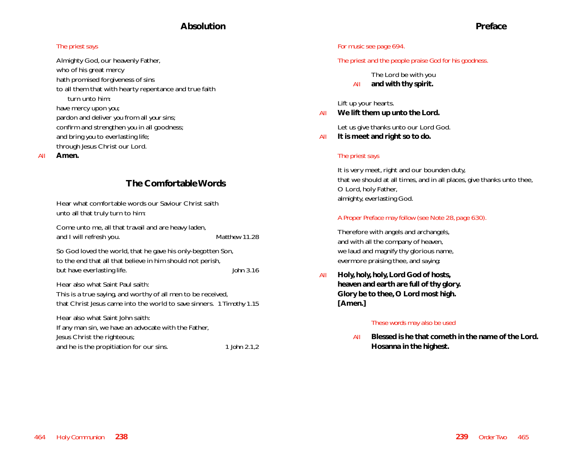# **Absolution**

#### *The priest says*

Almighty God, our heavenly Father, who of his great mercy hath promised forgiveness of sins to all them that with hearty repentance and true faith turn unto him: have mercy upon *you*; pardon and deliver *you* from all *your* sins; confirm and strengthen *you* in all goodness; and bring *you* to everlasting life; through Jesus Christ our Lord.

*All* **Amen.**

# **The Comfortable Words**

Hear what comfortable words our Saviour Christ saith unto all that truly turn to him: Come unto me, all that travail and are heavy laden, and I will refresh you. *Matthew 11.28* So God loved the world, that he gave his only-begotten Son, to the end that all that believe in him should not perish, but have everlasting life. *John 3.16* Hear also what Saint Paul saith: This is a true saying, and worthy of all men to be received, that Christ Jesus came into the world to save sinners. *1 Timothy 1.15* Hear also what Saint John saith: If any man sin, we have an advocate with the Father, Jesus Christ the righteous;

and he is the propitiation for our sins. *1 John 2.1,2*

#### *For music see page 694.*

#### *The priest and the people praise God for his goodness.*

The Lord be with you

*All* **and with thy spirit.**

#### Lift up your hearts.

*All* **We lift them up unto the Lord.**

Let us give thanks unto our Lord God.

*All* **It is meet and right so to do.**

#### *The priest says*

It is very meet, right and our bounden duty, that we should at all times, and in all places, give thanks unto thee, O Lord, holy Father, almighty, everlasting God.

#### *A Proper Preface may follow (see Note 28, page 630).*

Therefore with angels and archangels, and with all the company of heaven, we laud and magnify thy glorious name, evermore praising thee, and *saying*:

*All* **Holy, holy, holy, Lord God of hosts, heaven and earth are full of thy glory. Glory be to thee, O Lord most high. [Amen.]**

#### *These words may also be used*

*All* **Blessed is he that cometh in the name of the Lord. Hosanna in the highest.**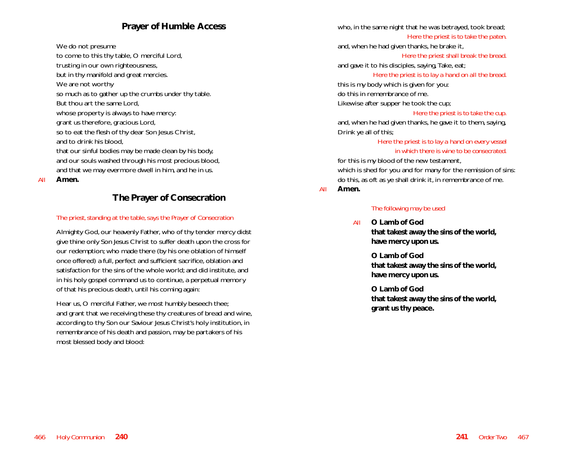# **Prayer of Humble Access**

We do not presume

to come to this thy table, O merciful Lord, trusting in our own righteousness, but in thy manifold and great mercies. We are not worthy so much as to gather up the crumbs under thy table. But thou art the same Lord, whose property is always to have mercy: grant us therefore, gracious Lord, so to eat the flesh of thy dear Son Jesus Christ, and to drink his blood, that our sinful bodies may be made clean by his body, and our souls washed through his most precious blood, and that we may evermore dwell in him, and he in us.

*All* **Amen.**

# **The Prayer of Consecration**

#### *The priest, standing at the table, says the Prayer of Consecration*

Almighty God, our heavenly Father, who of thy tender mercy didst give thine only Son Jesus Christ to suffer death upon the cross for our redemption; who made there (by his one oblation of himself once offered) a full, perfect and sufficient sacrifice, oblation and satisfaction for the sins of the whole world; and did institute, and in his holy gospel command us to continue, a perpetual memory of that his precious death, until his coming again:

Hear us, O merciful Father, we most humbly beseech thee; and grant that we receiving these thy creatures of bread and wine, according to thy Son our Saviour Jesus Christ's holy institution, in remembrance of his death and passion, may be partakers of his most blessed body and blood:

who, in the same night that he was betrayed, took bread; *Here the priest is to take the paten.*

and, when he had given thanks, he brake it,

*Here the priest shall break the bread.* and gave it to his disciples, saying, Take, eat;

*Here the priest is to lay a hand on all the bread.*

this is my body which is given for you:

do this in remembrance of me.

Likewise after supper he took the cup;

#### *Here the priest is to take the cup.*

and, when he had given thanks, he gave it to them, saying, Drink ye all of this;

#### *Here the priest is to lay a hand on every vessel in which there is wine to be consecrated.*

for this is my blood of the new testament, which is shed for you and for many for the remission of sins: do this, as oft as ye shall drink it, in remembrance of me.

*All* **Amen.**

#### *The following may be used*

*All* **O Lamb of God that takest away the sins of the world, have mercy upon us.**

> **O Lamb of God that takest away the sins of the world, have mercy upon us.**

> **O Lamb of God that takest away the sins of the world, grant us thy peace.**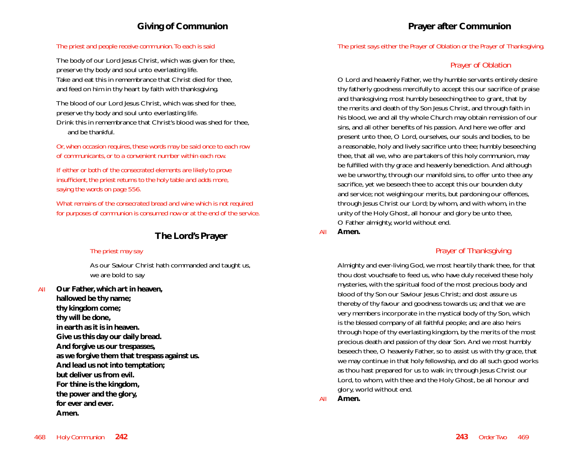# **Giving of Communion**

# **Prayer after Communion**

#### *The priest and people receive communion. To each is said*

The body of our Lord Jesus Christ, which was given for thee, preserve thy body and soul unto everlasting life. Take and eat this in remembrance that Christ died for thee, and feed on him in thy heart by faith with thanksgiving.

The blood of our Lord Jesus Christ, which was shed for thee, preserve thy body and soul unto everlasting life. Drink this in remembrance that Christ's blood was shed for thee, and be thankful.

*Or, when occasion requires, these words may be said once to each row of communicants, or to a convenient number within each row.*

*If either or both of the consecrated elements are likely to prove insufficient, the priest returns to the holy table and adds more, saying the words on page 556.*

*What remains of the consecrated bread and wine which is not required for purposes of communion is consumed now or at the end of the service.*

# **The Lord's Prayer**

#### *The priest may say*

As our Saviour Christ hath commanded and taught us, we are bold to say

*All* **Our Father, which art in heaven, hallowed be thy name; thy kingdom come; thy will be done, in earth as it is in heaven. Give us this day our daily bread. And forgive us our trespasses, as we forgive them that trespass against us. And lead us not into temptation; but deliver us from evil. For thine is the kingdom, the power and the glory, for ever and ever. Amen.**

*The priest says either the Prayer of Oblation or the Prayer of Thanksgiving.*

# *Prayer of Oblation*

O Lord and heavenly Father, we thy humble servants entirely desire thy fatherly goodness mercifully to accept this our sacrifice of praise and thanksgiving; most humbly beseeching thee to grant, that by the merits and death of thy Son Jesus Christ, and through faith in his blood, we and all thy whole Church may obtain remission of our sins, and all other benefits of his passion. And here we offer and present unto thee, O Lord, ourselves, our souls and bodies, to be a reasonable, holy and lively sacrifice unto thee; humbly beseeching thee, that all we, who are partakers of this holy communion, may be fulfilled with thy grace and heavenly benediction. And although we be unworthy, through our manifold sins, to offer unto thee any sacrifice, yet we beseech thee to accept this our bounden duty and service; not weighing our merits, but pardoning our offences, through Jesus Christ our Lord; by whom, and with whom, in the unity of the Holy Ghost, all honour and glory be unto thee, O Father almighty, world without end.

*All* **Amen.**

# *Prayer of Thanksgiving*

Almighty and ever-living God, we most heartily thank thee, for that thou dost vouchsafe to feed us, who have duly received these holy mysteries, with the spiritual food of the most precious body and blood of thy Son our Saviour Jesus Christ; and dost assure us thereby of thy favour and goodness towards us; and that we are very members incorporate in the mystical body of thy Son, which is the blessed company of all faithful people; and are also heirs through hope of thy everlasting kingdom, by the merits of the most precious death and passion of thy dear Son. And we most humbly beseech thee, O heavenly Father, so to assist us with thy grace, that we may continue in that holy fellowship, and do all such good works as thou hast prepared for us to walk in; through Jesus Christ our Lord, to whom, with thee and the Holy Ghost, be all honour and glory, world without end.

*All* **Amen.**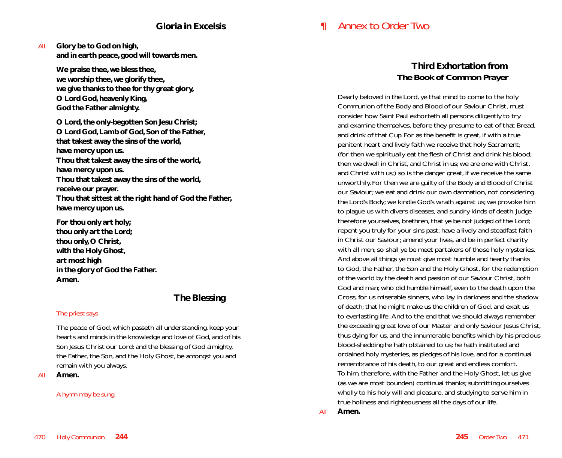*All* **Glory be to God on high, and in earth peace, good will towards men.**

> **We praise thee, we bless thee, we worship thee, we glorify thee, we give thanks to thee for thy great glory, O Lord God, heavenly King, God the Father almighty.**

**O Lord, the only-begotten Son Jesu Christ; O Lord God, Lamb of God, Son of the Father, that takest away the sins of the world, have mercy upon us. Thou that takest away the sins of the world, have mercy upon us. Thou that takest away the sins of the world, receive our prayer. Thou that sittest at the right hand of God the Father, have mercy upon us.**

**For thou only art holy; thou only art the Lord; thou only, O Christ, with the Holy Ghost, art most high in the glory of God the Father. Amen.**

# **The Blessing**

# *The priest says*

The peace of God, which passeth all understanding, keep your hearts and minds in the knowledge and love of God, and of his Son Jesus Christ our Lord: and the blessing of God almighty, the Father, the Son, and the Holy Ghost, be amongst you and remain with you always.

*All* **Amen.**

*A hymn may be sung.*

# *¶ Annex to Order Two*

# **Third Exhortation from**  *The Book of Common Prayer*

Dearly beloved in the Lord, ye that mind to come to the holy Communion of the Body and Blood of our Saviour Christ, must consider how Saint Paul exhorteth all persons diligently to try and examine themselves, before they presume to eat of that Bread, and drink of that Cup. For as the benefit is great, if with a true penitent heart and lively faith we receive that holy Sacrament; (for then we spiritually eat the flesh of Christ and drink his blood; then we dwell in Christ, and Christ in us; we are one with Christ, and Christ with us;) so is the danger great, if we receive the same unworthily. For then we are guilty of the Body and Blood of Christ our Saviour; we eat and drink our own damnation, not considering the Lord's Body; we kindle God's wrath against us; we provoke him to plague us with divers diseases, and sundry kinds of death. Judge therefore yourselves, brethren, that ye be not judged of the Lord; repent you truly for your sins past; have a lively and steadfast faith in Christ our Saviour; amend your lives, and be in perfect charity with all men; so shall ye be meet partakers of those holy mysteries. And above all things ye must give most humble and hearty thanks to God, the Father, the Son and the Holy Ghost, for the redemption of the world by the death and passion of our Saviour Christ, both God and man; who did humble himself, even to the death upon the Cross, for us miserable sinners, who lay in darkness and the shadow of death; that he might make us the children of God, and exalt us to everlasting life. And to the end that we should always remember the exceeding great love of our Master and only Saviour Jesus Christ, thus dying for us, and the innumerable benefits which by his precious blood-shedding he hath obtained to us; he hath instituted and ordained holy mysteries, as pledges of his love, and for a continual remembrance of his death, to our great and endless comfort. To him, therefore, with the Father and the Holy Ghost, let us give (as we are most bounden) continual thanks; submitting ourselves wholly to his holy will and pleasure, and studying to serve him in true holiness and righteousness all the days of our life.

*All* **Amen.**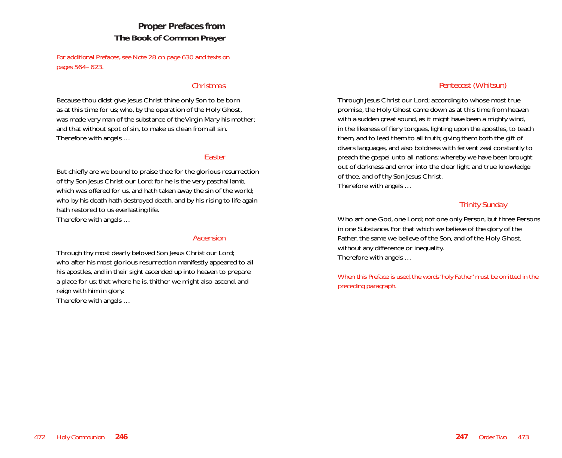# **Proper Prefaces from**  *The Book of Common Prayer*

*For additional Prefaces, see Note 28 on page 630 and texts on pages 564–623.*

## *Christmas*

Because thou didst give Jesus Christ thine only Son to be born as at this time for us; who, by the operation of the Holy Ghost, was made very man of the substance of the Virgin Mary his mother; and that without spot of sin, to make us clean from all sin. Therefore with angels …

## *Easter*

But chiefly are we bound to praise thee for the glorious resurrection of thy Son Jesus Christ our Lord: for he is the very paschal lamb, which was offered for us, and hath taken away the sin of the world; who by his death hath destroyed death, and by his rising to life again hath restored to us everlasting life. Therefore with angels …

#### *Ascension*

Through thy most dearly beloved Son Jesus Christ our Lord; who after his most glorious resurrection manifestly appeared to all his apostles, and in their sight ascended up into heaven to prepare a place for us; that where he is, thither we might also ascend, and reign with him in glory. Therefore with angels …

# *Pentecost (Whitsun)*

Through Jesus Christ our Lord; according to whose most true promise, the Holy Ghost came down as at this time from heaven with a sudden great sound, as it might have been a mighty wind, in the likeness of fiery tongues, lighting upon the apostles, to teach them, and to lead them to all truth; giving them both the gift of divers languages, and also boldness with fervent zeal constantly to preach the gospel unto all nations; whereby we have been brought out of darkness and error into the clear light and true knowledge of thee, and of thy Son Jesus Christ. Therefore with angels …

# *Trinity Sunday*

Who art one God, one Lord; not one only Person, but three Persons in one Substance. For that which we believe of the glory of the Father, the same we believe of the Son, and of the Holy Ghost, without any difference or inequality. Therefore with angels …

*When this Preface is used, the words 'holy Father' must be omitted in the preceding paragraph.*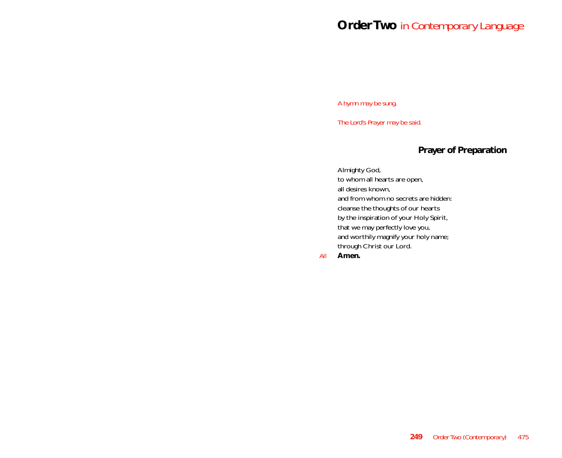# **OrderTwo** *in Contemporary Language*

*A hymn may be sung.*

*The Lord's Prayer may be said.*

# **Prayer of Preparation**

Almighty God, to whom all hearts are open, all desires known, and from whom no secrets are hidden: cleanse the thoughts of our hearts by the inspiration of your Holy Spirit, that we may perfectly love you, and worthily magnify your holy name; through Christ our Lord.

*All* **Amen.**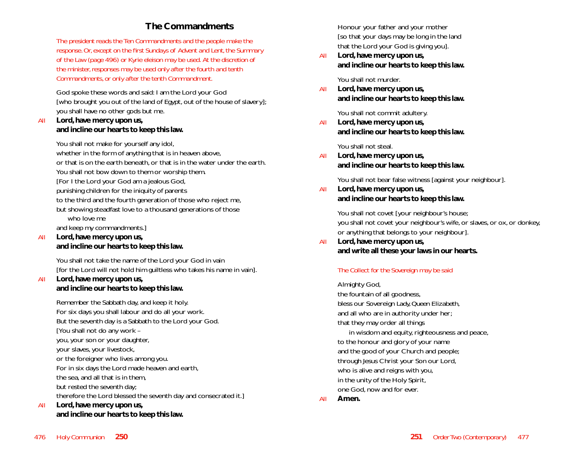# **The Commandments**

*The president reads the Ten Commandments and the people make the response. Or, except on the first Sundays of Advent and Lent, the Summary of the Law (page 496) or Kyrie eleison may be used. At the discretion of the minister, responses may be used only after the fourth and tenth Commandments, or only after the tenth Commandment.*

God spoke these words and said: I am the Lord your God [who brought you out of the land of Egypt, out of the house of slavery]; you shall have no other gods but me.

## *All* **Lord, have mercy upon us, and incline our hearts to keep this law.**

You shall not make for yourself any idol,

whether in the form of anything that is in heaven above,

or that is on the earth beneath, or that is in the water under the earth.

- You shall not bow down to them or worship them.
- [For I the Lord your God am a jealous God,
- punishing children for the iniquity of parents

to the third and the fourth generation of those who reject me,

- but showing steadfast love to a thousand generations of those who love me
- and keep my commandments.]
- *All* **Lord, have mercy upon us, and incline our hearts to keep this law.**

You shall not take the name of the Lord your God in vain [for the Lord will not hold him guiltless who takes his name in vain].

# *All* **Lord, have mercy upon us, and incline our hearts to keep this law.**

Remember the Sabbath day, and keep it holy. For six days you shall labour and do all your work. But the seventh day is a Sabbath to the Lord your God. [You shall not do any work – you, your son or your daughter, your slaves, your livestock, or the foreigner who lives among you. For in six days the Lord made heaven and earth, the sea, and all that is in them, but rested the seventh day; therefore the Lord blessed the seventh day and consecrated it.] *All* **Lord, have mercy upon us,**

# **and incline our hearts to keep this law.**

Honour your father and your mother [so that your days may be long in the land that the Lord your God is giving you].

*All* **Lord, have mercy upon us, and incline our hearts to keep this law.**

You shall not murder.

*All* **Lord, have mercy upon us, and incline our hearts to keep this law.**

You shall not commit adultery.

*All* **Lord, have mercy upon us, and incline our hearts to keep this law.**

You shall not steal.

*All* **Lord, have mercy upon us, and incline our hearts to keep this law.**

You shall not bear false witness [against your neighbour].

*All* **Lord, have mercy upon us, and incline our hearts to keep this law.**

> You shall not covet [your neighbour's house; you shall not covet your neighbour's wife, or slaves, or ox, or donkey, or anything that belongs to your neighbour].

*All* **Lord, have mercy upon us, and write all these your laws in our hearts.**

# *The Collect for the Sovereign may be said*

Almighty God, the fountain of all goodness, bless our Sovereign *Lady, Queen Elizabeth,* and all who are in authority under her; that they may order all things in wisdom and equity, righteousness and peace, to the honour and glory of your name and the good of your Church and people; through Jesus Christ your Son our Lord, who is alive and reigns with you, in the unity of the Holy Spirit, one God, now and for ever.

*All* **Amen.**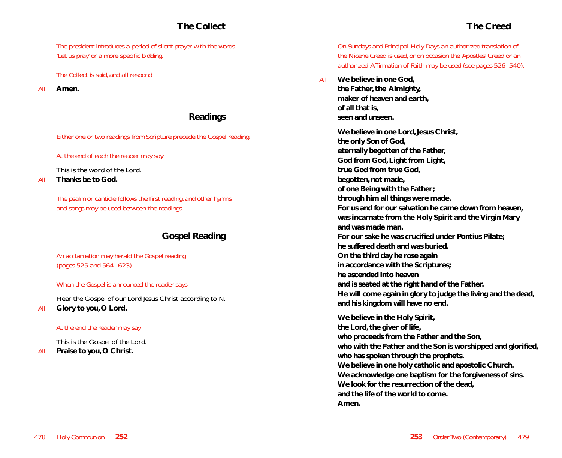# **The Collect**

*The president introduces a period of silent prayer with the words 'Let us pray' or a more specific bidding.*

*The Collect is said, and all respond* 

*All* **Amen.**

# **Readings**

*Either one or two readings from Scripture precede the Gospel reading.*

#### *At the end of each the reader may say*

This is the word of the Lord.

## *All* **Thanks be to God.**

*The psalm or canticle follows the first reading, and other hymns and songs may be used between the readings.*

# **Gospel Reading**

*An acclamation may herald the Gospel reading (pages 525 and 564–623).*

*When the Gospel is announced the reader says*

Hear the Gospel of our Lord Jesus Christ according to *N*.

*All* **Glory to you, O Lord.**

### *At the end the reader may say*

This is the Gospel of the Lord.

*All* **Praise to you, O Christ.** 

*On Sundays and Principal Holy Days an authorized translation of the Nicene Creed is used, or on occasion the Apostles' Creed or an authorized Affirmation of Faith may be used (see pages 526–540).*

*All* **We believe in one God, the Father, the Almighty, maker of heaven and earth, of all that is, seen and unseen.**

> **We believe in one Lord, Jesus Christ, the only Son of God, eternally begotten of the Father, God from God, Light from Light, true God from true God, begotten, not made, of one Being with the Father; through him all things were made. For us and for our salvation he came down from heaven, was incarnate from the Holy Spirit and the Virgin Mary and was made man. For our sake he was crucified under Pontius Pilate; he suffered death and was buried. On the third day he rose again in accordance with the Scriptures; he ascended into heaven and is seated at the right hand of the Father. He will come again in glory to judge the living and the dead, and his kingdom will have no end. We believe in the Holy Spirit, the Lord, the giver of life, who proceeds from the Father and the Son, who with the Father and the Son is worshipped and glorified, who has spoken through the prophets.**

**We believe in one holy catholic and apostolic Church. We acknowledge one baptism for the forgiveness of sins.**

**We look for the resurrection of the dead,**

**and the life of the world to come.**

**Amen.**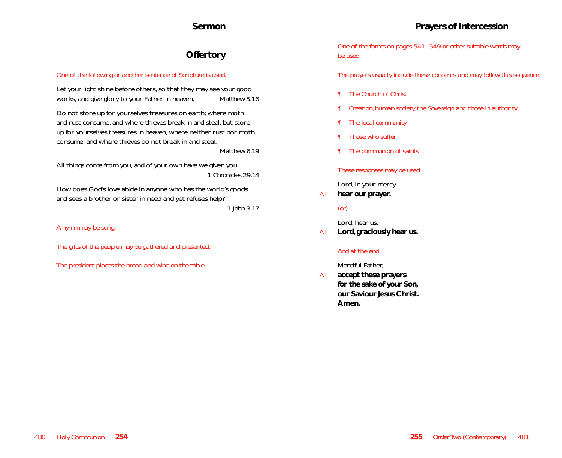# **Sermon**

# **Offertory**

#### *One of the following or another sentence of Scripture is used.*

Let your light shine before others, so that they may see your good works, and give glory to your Father in heaven. *Matthew 5.16*

Do not store up for yourselves treasures on earth; where moth and rust consume, and where thieves break in and steal: but store up for yourselves treasures in heaven, where neither rust nor moth consume, and where thieves do not break in and steal.

*Matthew 6.19*

All things come from you, and of your own have we given you. *1 Chronicles 29.14*

How does God's love abide in anyone who has the world's goods and sees a brother or sister in need and yet refuses help? *1 John 3.17*

*A hymn may be sung.*

*The gifts of the people may be gathered and presented.*

*The president places the bread and wine on the table.*

*One of the forms on pages 541–549 or other suitable words may be used.*

*The prayers usually include these concerns and may follow this sequence:*

- *¶ The Church of Christ*
- *¶ Creation, human society, the Sovereign and those in authority*
- *¶ The local community*
- *¶ Those who suffer*
- *¶ The communion of saints*

#### *These responses may be used*

Lord, in your mercy

*All* **hear our prayer.**

#### *(or)*

Lord, hear us.

*All* **Lord, graciously hear us.**

#### *And at the end*

Merciful Father,

*All* **accept these prayers for the sake of your Son, our Saviour Jesus Christ. Amen.**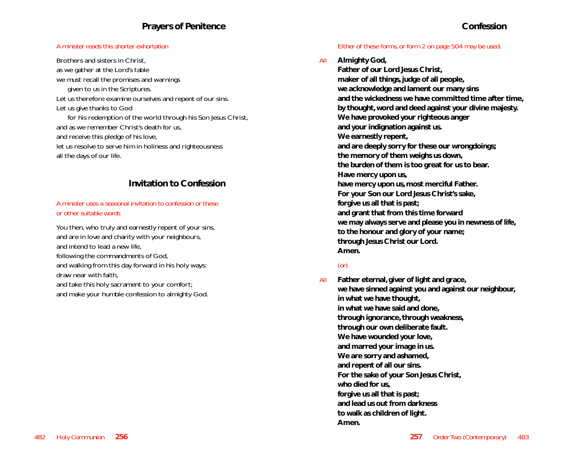# **Prayers of Penitence**

#### *A minister reads this shorter exhortation*

Brothers and sisters in Christ, as we gather at the Lord's table we must recall the promises and warnings given to us in the Scriptures. Let us therefore examine ourselves and repent of our sins. Let us give thanks to God for his redemption of the world through his Son Jesus Christ, and as we remember Christ's death for us, and receive this pledge of his love, let us resolve to serve him in holiness and righteousness all the days of our life.

# **Invitation to Confession**

#### *A minister uses a seasonal invitation to confession or these or other suitable words*

You then, who truly and earnestly repent of your sins, and are in love and charity with your neighbours, and intend to lead a new life, following the commandments of God, and walking from this day forward in his holy ways: draw near with faith, and take this holy sacrament to your comfort; and make your humble confession to almighty God.

#### *Either of these forms, or form 2 on page 504 may be used.*

*All* **Almighty God, Father of our Lord Jesus Christ, maker of all things, judge of all people, we acknowledge and lament our many sins and the wickedness we have committed time after time, by thought, word and deed against your divine majesty. We have provoked your righteous anger and your indignation against us. We earnestly repent, and are deeply sorry for these our wrongdoings; the memory of them weighs us down, the burden of them is too great for us to bear. Have mercy upon us, have mercy upon us, most merciful Father. For your Son our Lord Jesus Christ's sake, forgive us all that is past; and grant that from this time forward we may always serve and please you in newness of life, to the honour and glory of your name; through Jesus Christ our Lord. Amen.**

#### *(or)*

*All* **Father eternal, giver of light and grace, we have sinned against you and against our neighbour, in what we have thought, in what we have said and done, through ignorance, through weakness, through our own deliberate fault. We have wounded your love, and marred your image in us. We are sorry and ashamed, and repent of all our sins. For the sake of your Son Jesus Christ, who died for us, forgive us all that is past; and lead us out from darkness to walk as children of light. Amen.**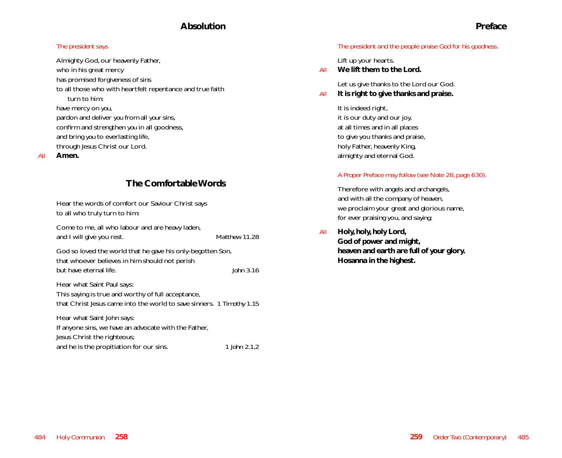# **Absolution**

#### *The president says*

Almighty God, our heavenly Father, who in his great mercy has promised forgiveness of sins to all those who with heartfelt repentance and true faith turn to him: have mercy on *you*, pardon and deliver *you* from all *your* sins, confirm and strengthen *you* in all goodness, and bring *you* to everlasting life, through Jesus Christ our Lord.

*All* **Amen.**

# **The Comfortable Words**

| Hear the words of comfort our Saviour Christ says<br>to all who truly turn to him:                                                                        |               |
|-----------------------------------------------------------------------------------------------------------------------------------------------------------|---------------|
| Come to me, all who labour and are heavy laden,<br>and I will give you rest.                                                                              | Matthew 11.28 |
| God so loved the world that he gave his only-begotten Son,<br>that whoever believes in him should not perish<br>but have eternal life.                    | John 3.16     |
| Hear what Saint Paul says:<br>This saying is true and worthy of full acceptance,<br>that Christ Jesus came into the world to save sinners. 1 Timothy 1.15 |               |
| Hear what Saint John says:<br>If anyone sins, we have an advocate with the Father,<br>Jesus Christ the righteous;                                         |               |
| and he is the propitiation for our sins.                                                                                                                  | 1 John 2.1.2  |

#### *The president and the people praise God for his goodness.*

Lift up your hearts.

*All* **We lift them to the Lord.**

Let us give thanks to the Lord our God.

*All* **It is right to give thanks and praise.**

It is indeed right, it is our duty and our joy, at all times and in all places to give you thanks and praise, holy Father, heavenly King, almighty and eternal God.

#### *A Proper Preface may follow (see Note 28, page 630).*

Therefore with angels and archangels, and with all the company of heaven, we proclaim your great and glorious name, for ever praising you, and *saying*:

*All* **Holy, holy, holy Lord, God of power and might, heaven and earth are full of your glory. Hosanna in the highest.**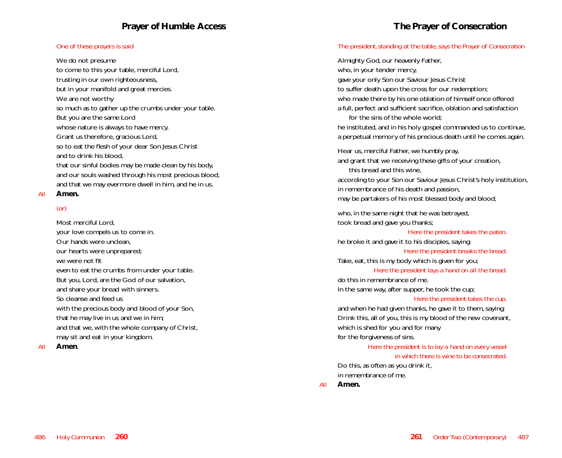#### *One of these prayers is said*

We do not presume

to come to this your table, merciful Lord, trusting in our own righteousness, but in your manifold and great mercies. We are not worthy so much as to gather up the crumbs under your table. But you are the same Lord whose nature is always to have mercy. Grant us therefore, gracious Lord, so to eat the flesh of your dear Son Jesus Christ and to drink his blood, that our sinful bodies may be made clean by his body, and our souls washed through his most precious blood, and that we may evermore dwell in him, and he in us. *All* **Amen.**

# *(or)*

Most merciful Lord, your love compels us to come in. Our hands were unclean, our hearts were unprepared; we were not fit even to eat the crumbs from under your table. But you, Lord, are the God of our salvation, and share your bread with sinners. So cleanse and feed us with the precious body and blood of your Son, that he may live in us and we in him; and that we, with the whole company of Christ, may sit and eat in your kingdom.

*All* **Amen**.

# **The Prayer of Consecration**

#### *The president, standing at the table, says the Prayer of Consecration*

Almighty God, our heavenly Father, who, in your tender mercy, gave your only Son our Saviour Jesus Christ to suffer death upon the cross for our redemption; who made there by his one oblation of himself once offered a full, perfect and sufficient sacrifice, oblation and satisfaction for the sins of the whole world; he instituted, and in his holy gospel commanded us to continue, a perpetual memory of his precious death until he comes again. Hear us, merciful Father, we humbly pray, and grant that we receiving these gifts of your creation, this bread and this wine, according to your Son our Saviour Jesus Christ's holy institution, in remembrance of his death and passion, may be partakers of his most blessed body and blood; who, in the same night that he was betrayed, took bread and gave you thanks; *Here the president takes the paten.* he broke it and gave it to his disciples, saying: *Here the president breaks the bread.* Take, eat, this is my body which is given for you; *Here the president lays a hand on all the bread.*

do this in remembrance of me.

In the same way, after supper, he took the cup;

#### *Here the president takes the cup.*

and when he had given thanks, he gave it to them, saying: Drink this, all of you, this is my blood of the new covenant, which is shed for you and for many for the forgiveness of sins.

> *Here the president is to lay a hand on every vessel in which there is wine to be consecrated.*

Do this, as often as you drink it, in remembrance of me.

*All* **Amen.**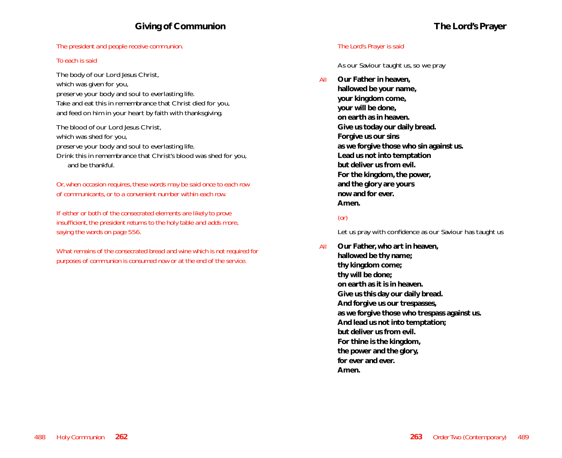#### *The president and people receive communion.*

#### *To each is said*

The body of our Lord Jesus Christ, which was given for you, preserve your body and soul to everlasting life. Take and eat this in remembrance that Christ died for you, and feed on him in your heart by faith with thanksgiving.

The blood of our Lord Jesus Christ, which was shed for you, preserve your body and soul to everlasting life. Drink this in remembrance that Christ's blood was shed for you, and be thankful.

*Or, when occasion requires, these words may be said once to each row of communicants, or to a convenient number within each row.*

*If either or both of the consecrated elements are likely to prove insufficient, the president returns to the holy table and adds more, saying the words on page 556.*

*What remains of the consecrated bread and wine which is not required for purposes of communion is consumed now or at the end of the service.*

#### *The Lord's Prayer is said*

As our Saviour taught us, so we pray

*All* **Our Father in heaven, hallowed be your name, your kingdom come, your will be done, on earth as in heaven. Give us today our daily bread. Forgive us our sins as we forgive those who sin against us. Lead us not into temptation but deliver us from evil. For the kingdom, the power, and the glory are yours now and for ever. Amen.**

# *(or)*

Let us pray with confidence as our Saviour has taught us

*All* **Our Father, who art in heaven, hallowed be thy name; thy kingdom come; thy will be done; on earth as it is in heaven. Give us this day our daily bread. And forgive us our trespasses, as we forgive those who trespass against us. And lead us not into temptation; but deliver us from evil. For thine is the kingdom, the power and the glory, for ever and ever. Amen.**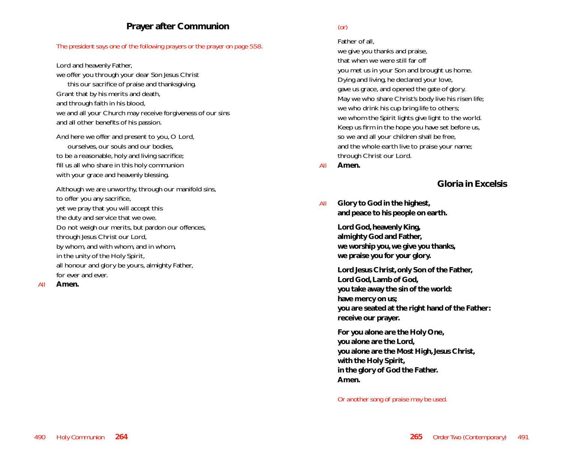# **Prayer after Communion**

#### *The president says one of the following prayers or the prayer on page 558.*

Lord and heavenly Father,

we offer you through your dear Son Jesus Christ this our sacrifice of praise and thanksgiving. Grant that by his merits and death, and through faith in his blood, we and all your Church may receive forgiveness of our sins and all other benefits of his passion.

And here we offer and present to you, O Lord, ourselves, our souls and our bodies, to be a reasonable, holy and living sacrifice; fill us all who share in this holy communion with your grace and heavenly blessing.

Although we are unworthy, through our manifold sins, to offer you any sacrifice, yet we pray that you will accept this the duty and service that we owe. Do not weigh our merits, but pardon our offences, through Jesus Christ our Lord, by whom, and with whom, and in whom, in the unity of the Holy Spirit, all honour and glory be yours, almighty Father, for ever and ever.

*All* **Amen.**

## *(or)*

Father of all, we give you thanks and praise, that when we were still far off you met us in your Son and brought us home. Dying and living, he declared your love, gave us grace, and opened the gate of glory. May we who share Christ's body live his risen life; we who drink his cup bring life to others; we whom the Spirit lights give light to the world. Keep us firm in the hope you have set before us, so we and all your children shall be free, and the whole earth live to praise your name; through Christ our Lord.

*All* **Amen.**

# **Gloria in Excelsis**

*All* **Glory to God in the highest, and peace to his people on earth.**

> **Lord God, heavenly King, almighty God and Father, we worship you, we give you thanks, we praise you for your glory.**

**Lord Jesus Christ, only Son of the Father, Lord God, Lamb of God, you take away the sin of the world: have mercy on us; you are seated at the right hand of the Father: receive our prayer.**

**For you alone are the Holy One, you alone are the Lord, you alone are the Most High, Jesus Christ, with the Holy Spirit, in the glory of God the Father. Amen.**

*Or another song of praise may be used.*